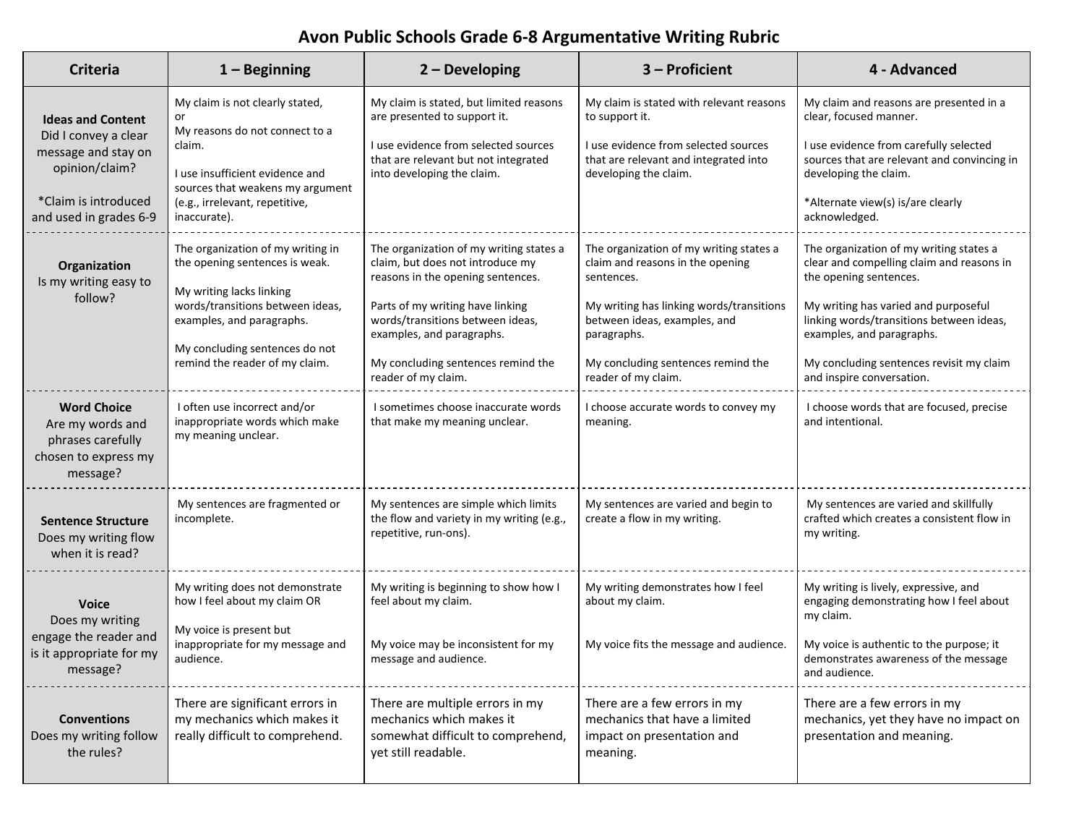# **Avon Public Schools Grade 6-8 Argumentative Writing Rubric**

| <b>Criteria</b>                                                                                                                             | $1 -$ Beginning                                                                                                                                                                                                                      | $2 - Developing$                                                                                                                                                                                                                                                                   | 3 - Proficient                                                                                                                                                                                                                                    | 4 - Advanced                                                                                                                                                                                                                                                                                             |
|---------------------------------------------------------------------------------------------------------------------------------------------|--------------------------------------------------------------------------------------------------------------------------------------------------------------------------------------------------------------------------------------|------------------------------------------------------------------------------------------------------------------------------------------------------------------------------------------------------------------------------------------------------------------------------------|---------------------------------------------------------------------------------------------------------------------------------------------------------------------------------------------------------------------------------------------------|----------------------------------------------------------------------------------------------------------------------------------------------------------------------------------------------------------------------------------------------------------------------------------------------------------|
| <b>Ideas and Content</b><br>Did I convey a clear<br>message and stay on<br>opinion/claim?<br>*Claim is introduced<br>and used in grades 6-9 | My claim is not clearly stated,<br>or<br>My reasons do not connect to a<br>claim.<br>I use insufficient evidence and<br>sources that weakens my argument<br>(e.g., irrelevant, repetitive,<br>inaccurate).                           | My claim is stated, but limited reasons<br>are presented to support it.<br>I use evidence from selected sources<br>that are relevant but not integrated<br>into developing the claim.                                                                                              | My claim is stated with relevant reasons<br>to support it.<br>I use evidence from selected sources<br>that are relevant and integrated into<br>developing the claim.                                                                              | My claim and reasons are presented in a<br>clear, focused manner.<br>I use evidence from carefully selected<br>sources that are relevant and convincing in<br>developing the claim.<br>*Alternate view(s) is/are clearly<br>acknowledged.                                                                |
| Organization<br>Is my writing easy to<br>follow?                                                                                            | The organization of my writing in<br>the opening sentences is weak.<br>My writing lacks linking<br>words/transitions between ideas,<br>examples, and paragraphs.<br>My concluding sentences do not<br>remind the reader of my claim. | The organization of my writing states a<br>claim, but does not introduce my<br>reasons in the opening sentences.<br>Parts of my writing have linking<br>words/transitions between ideas,<br>examples, and paragraphs.<br>My concluding sentences remind the<br>reader of my claim. | The organization of my writing states a<br>claim and reasons in the opening<br>sentences.<br>My writing has linking words/transitions<br>between ideas, examples, and<br>paragraphs.<br>My concluding sentences remind the<br>reader of my claim. | The organization of my writing states a<br>clear and compelling claim and reasons in<br>the opening sentences.<br>My writing has varied and purposeful<br>linking words/transitions between ideas,<br>examples, and paragraphs.<br>My concluding sentences revisit my claim<br>and inspire conversation. |
| <b>Word Choice</b><br>Are my words and<br>phrases carefully<br>chosen to express my<br>message?                                             | I often use incorrect and/or<br>inappropriate words which make<br>my meaning unclear.                                                                                                                                                | I sometimes choose inaccurate words<br>that make my meaning unclear.                                                                                                                                                                                                               | I choose accurate words to convey my<br>meaning.                                                                                                                                                                                                  | I choose words that are focused, precise<br>and intentional.                                                                                                                                                                                                                                             |
| <b>Sentence Structure</b><br>Does my writing flow<br>when it is read?                                                                       | My sentences are fragmented or<br>incomplete.                                                                                                                                                                                        | My sentences are simple which limits<br>the flow and variety in my writing (e.g.,<br>repetitive, run-ons).                                                                                                                                                                         | My sentences are varied and begin to<br>create a flow in my writing.                                                                                                                                                                              | My sentences are varied and skillfully<br>crafted which creates a consistent flow in<br>my writing.                                                                                                                                                                                                      |
| <b>Voice</b><br>Does my writing<br>engage the reader and<br>is it appropriate for my<br>message?                                            | My writing does not demonstrate<br>how I feel about my claim OR<br>My voice is present but<br>inappropriate for my message and<br>audience.                                                                                          | My writing is beginning to show how I<br>feel about my claim.<br>My voice may be inconsistent for my<br>message and audience.                                                                                                                                                      | My writing demonstrates how I feel<br>about my claim.<br>My voice fits the message and audience.                                                                                                                                                  | My writing is lively, expressive, and<br>engaging demonstrating how I feel about<br>my claim.<br>My voice is authentic to the purpose; it<br>demonstrates awareness of the message<br>and audience.                                                                                                      |
| <b>Conventions</b><br>Does my writing follow<br>the rules?                                                                                  | There are significant errors in<br>my mechanics which makes it<br>really difficult to comprehend.                                                                                                                                    | There are multiple errors in my<br>mechanics which makes it<br>somewhat difficult to comprehend,<br>yet still readable.                                                                                                                                                            | There are a few errors in my<br>mechanics that have a limited<br>impact on presentation and<br>meaning.                                                                                                                                           | There are a few errors in my<br>mechanics, yet they have no impact on<br>presentation and meaning.                                                                                                                                                                                                       |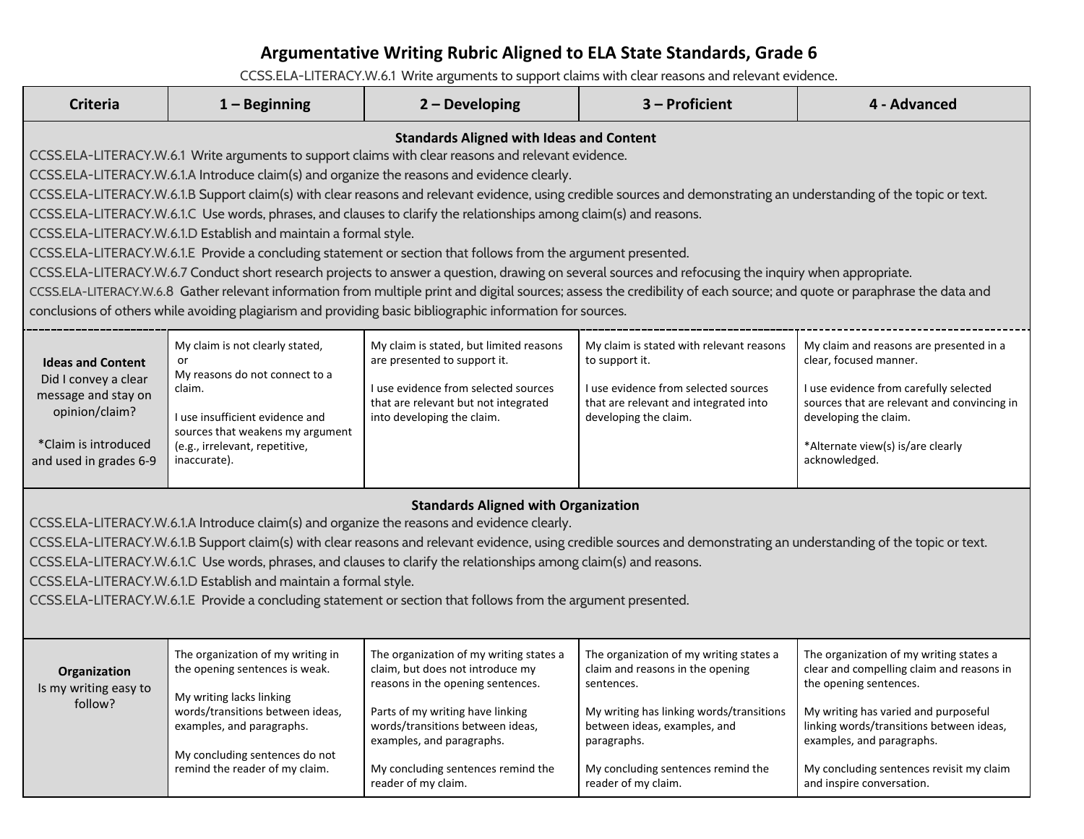### **Argumentative Writing Rubric Aligned to ELA State Standards, Grade 6**

[CCSS.ELA-LITERACY.W.6.1](http://www.corestandards.org/ELA-Literacy/W/6/1/) Write arguments to support claims with clear reasons and relevant evidence.

| <b>Criteria</b>                                                                                                                                                                                                                                                                                                                                                                                                                                                                                                                                                                                                                                                                                                                                                                                                                                                                                                                                                                                                                                                                                                                                                                             | $1 -$ Beginning                                                                                                                                                                                                                      | $2 - Developing$                                                                                                                                                                                                                                                                   | 3 - Proficient                                                                                                                                                                                                                                    | 4 - Advanced                                                                                                                                                                                                                                                                                             |
|---------------------------------------------------------------------------------------------------------------------------------------------------------------------------------------------------------------------------------------------------------------------------------------------------------------------------------------------------------------------------------------------------------------------------------------------------------------------------------------------------------------------------------------------------------------------------------------------------------------------------------------------------------------------------------------------------------------------------------------------------------------------------------------------------------------------------------------------------------------------------------------------------------------------------------------------------------------------------------------------------------------------------------------------------------------------------------------------------------------------------------------------------------------------------------------------|--------------------------------------------------------------------------------------------------------------------------------------------------------------------------------------------------------------------------------------|------------------------------------------------------------------------------------------------------------------------------------------------------------------------------------------------------------------------------------------------------------------------------------|---------------------------------------------------------------------------------------------------------------------------------------------------------------------------------------------------------------------------------------------------|----------------------------------------------------------------------------------------------------------------------------------------------------------------------------------------------------------------------------------------------------------------------------------------------------------|
| <b>Standards Aligned with Ideas and Content</b><br>CCSS.ELA-LITERACY.W.6.1 Write arguments to support claims with clear reasons and relevant evidence.<br>CCSS.ELA-LITERACY.W.6.1.A Introduce claim(s) and organize the reasons and evidence clearly.<br>CCSS.ELA-LITERACY.W.6.1.B Support claim(s) with clear reasons and relevant evidence, using credible sources and demonstrating an understanding of the topic or text.<br>CCSS.ELA-LITERACY.W.6.1.C Use words, phrases, and clauses to clarify the relationships among claim(s) and reasons.<br>CCSS.ELA-LITERACY.W.6.1.D Establish and maintain a formal style.<br>CCSS.ELA-LITERACY.W.6.1.E Provide a concluding statement or section that follows from the argument presented.<br>CCSS.ELA-LITERACY.W.6.7 Conduct short research projects to answer a question, drawing on several sources and refocusing the inquiry when appropriate.<br>CCSS.ELA-LITERACY.W.6.8 Gather relevant information from multiple print and digital sources; assess the credibility of each source; and quote or paraphrase the data and<br>conclusions of others while avoiding plagiarism and providing basic bibliographic information for sources. |                                                                                                                                                                                                                                      |                                                                                                                                                                                                                                                                                    |                                                                                                                                                                                                                                                   |                                                                                                                                                                                                                                                                                                          |
| <b>Ideas and Content</b><br>Did I convey a clear<br>message and stay on<br>opinion/claim?<br>*Claim is introduced<br>and used in grades 6-9                                                                                                                                                                                                                                                                                                                                                                                                                                                                                                                                                                                                                                                                                                                                                                                                                                                                                                                                                                                                                                                 | My claim is not clearly stated,<br>or<br>My reasons do not connect to a<br>claim.<br>I use insufficient evidence and<br>sources that weakens my argument<br>(e.g., irrelevant, repetitive,<br>inaccurate).                           | My claim is stated, but limited reasons<br>are presented to support it.<br>I use evidence from selected sources<br>that are relevant but not integrated<br>into developing the claim.                                                                                              | My claim is stated with relevant reasons<br>to support it.<br>I use evidence from selected sources<br>that are relevant and integrated into<br>developing the claim.                                                                              | My claim and reasons are presented in a<br>clear, focused manner.<br>I use evidence from carefully selected<br>sources that are relevant and convincing in<br>developing the claim.<br>*Alternate view(s) is/are clearly<br>acknowledged.                                                                |
| <b>Standards Aligned with Organization</b><br>CCSS.ELA-LITERACY.W.6.1.A Introduce claim(s) and organize the reasons and evidence clearly.<br>CCSS.ELA-LITERACY.W.6.1.B Support claim(s) with clear reasons and relevant evidence, using credible sources and demonstrating an understanding of the topic or text.<br>CCSS.ELA-LITERACY.W.6.1.C Use words, phrases, and clauses to clarify the relationships among claim(s) and reasons.<br>CCSS.ELA-LITERACY.W.6.1.D Establish and maintain a formal style.<br>CCSS.ELA-LITERACY.W.6.1.E Provide a concluding statement or section that follows from the argument presented.                                                                                                                                                                                                                                                                                                                                                                                                                                                                                                                                                                |                                                                                                                                                                                                                                      |                                                                                                                                                                                                                                                                                    |                                                                                                                                                                                                                                                   |                                                                                                                                                                                                                                                                                                          |
| Organization<br>Is my writing easy to<br>follow?                                                                                                                                                                                                                                                                                                                                                                                                                                                                                                                                                                                                                                                                                                                                                                                                                                                                                                                                                                                                                                                                                                                                            | The organization of my writing in<br>the opening sentences is weak.<br>My writing lacks linking<br>words/transitions between ideas,<br>examples, and paragraphs.<br>My concluding sentences do not<br>remind the reader of my claim. | The organization of my writing states a<br>claim, but does not introduce my<br>reasons in the opening sentences.<br>Parts of my writing have linking<br>words/transitions between ideas,<br>examples, and paragraphs.<br>My concluding sentences remind the<br>reader of my claim. | The organization of my writing states a<br>claim and reasons in the opening<br>sentences.<br>My writing has linking words/transitions<br>between ideas, examples, and<br>paragraphs.<br>My concluding sentences remind the<br>reader of my claim. | The organization of my writing states a<br>clear and compelling claim and reasons in<br>the opening sentences.<br>My writing has varied and purposeful<br>linking words/transitions between ideas,<br>examples, and paragraphs.<br>My concluding sentences revisit my claim<br>and inspire conversation. |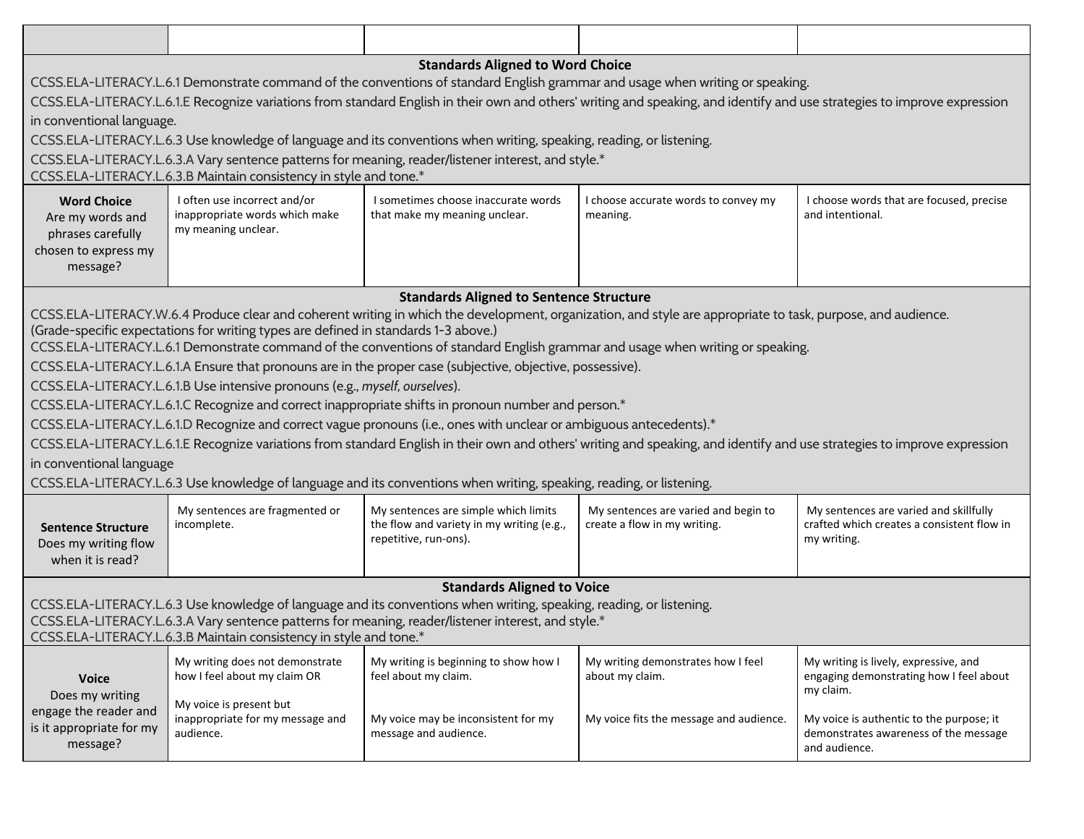|                                                                                                                                                                           |                                                                                     | <b>Standards Aligned to Word Choice</b>                                                                              |                                                                                                                                                                           |                                                                                   |
|---------------------------------------------------------------------------------------------------------------------------------------------------------------------------|-------------------------------------------------------------------------------------|----------------------------------------------------------------------------------------------------------------------|---------------------------------------------------------------------------------------------------------------------------------------------------------------------------|-----------------------------------------------------------------------------------|
|                                                                                                                                                                           |                                                                                     |                                                                                                                      | CCSS.ELA-LITERACY.L.6.1 Demonstrate command of the conventions of standard English grammar and usage when writing or speaking.                                            |                                                                                   |
|                                                                                                                                                                           |                                                                                     |                                                                                                                      | CCSS.ELA-LITERACY.L.6.1.E Recognize variations from standard English in their own and others' writing and speaking, and identify and use strategies to improve expression |                                                                                   |
| in conventional language.                                                                                                                                                 |                                                                                     |                                                                                                                      |                                                                                                                                                                           |                                                                                   |
|                                                                                                                                                                           |                                                                                     | CCSS.ELA-LITERACY.L.6.3 Use knowledge of language and its conventions when writing, speaking, reading, or listening. |                                                                                                                                                                           |                                                                                   |
|                                                                                                                                                                           |                                                                                     | CCSS.ELA-LITERACY.L.6.3.A Vary sentence patterns for meaning, reader/listener interest, and style.*                  |                                                                                                                                                                           |                                                                                   |
|                                                                                                                                                                           | CCSS.ELA-LITERACY.L.6.3.B Maintain consistency in style and tone.*                  |                                                                                                                      |                                                                                                                                                                           |                                                                                   |
| <b>Word Choice</b>                                                                                                                                                        | I often use incorrect and/or                                                        | I sometimes choose inaccurate words                                                                                  | I choose accurate words to convey my                                                                                                                                      | I choose words that are focused, precise                                          |
| Are my words and                                                                                                                                                          | inappropriate words which make<br>my meaning unclear.                               | that make my meaning unclear.                                                                                        | meaning.                                                                                                                                                                  | and intentional.                                                                  |
| phrases carefully                                                                                                                                                         |                                                                                     |                                                                                                                      |                                                                                                                                                                           |                                                                                   |
| chosen to express my<br>message?                                                                                                                                          |                                                                                     |                                                                                                                      |                                                                                                                                                                           |                                                                                   |
|                                                                                                                                                                           |                                                                                     |                                                                                                                      |                                                                                                                                                                           |                                                                                   |
|                                                                                                                                                                           |                                                                                     | <b>Standards Aligned to Sentence Structure</b>                                                                       |                                                                                                                                                                           |                                                                                   |
|                                                                                                                                                                           |                                                                                     |                                                                                                                      | CCSS.ELA-LITERACY.W.6.4 Produce clear and coherent writing in which the development, organization, and style are appropriate to task, purpose, and audience.              |                                                                                   |
|                                                                                                                                                                           | (Grade-specific expectations for writing types are defined in standards 1-3 above.) |                                                                                                                      | CCSS.ELA-LITERACY.L.6.1 Demonstrate command of the conventions of standard English grammar and usage when writing or speaking.                                            |                                                                                   |
|                                                                                                                                                                           |                                                                                     | CCSS.ELA-LITERACY.L.6.1.A Ensure that pronouns are in the proper case (subjective, objective, possessive).           |                                                                                                                                                                           |                                                                                   |
|                                                                                                                                                                           | CCSS.ELA-LITERACY.L.6.1.B Use intensive pronouns (e.g., myself, ourselves).         |                                                                                                                      |                                                                                                                                                                           |                                                                                   |
|                                                                                                                                                                           |                                                                                     | CCSS.ELA-LITERACY.L.6.1.C Recognize and correct inappropriate shifts in pronoun number and person.*                  |                                                                                                                                                                           |                                                                                   |
|                                                                                                                                                                           |                                                                                     | CCSS.ELA-LITERACY.L.6.1.D Recognize and correct vague pronouns (i.e., ones with unclear or ambiguous antecedents).*  |                                                                                                                                                                           |                                                                                   |
|                                                                                                                                                                           |                                                                                     |                                                                                                                      | CCSS.ELA-LITERACY.L.6.1.E Recognize variations from standard English in their own and others' writing and speaking, and identify and use strategies to improve expression |                                                                                   |
| in conventional language                                                                                                                                                  |                                                                                     |                                                                                                                      |                                                                                                                                                                           |                                                                                   |
|                                                                                                                                                                           |                                                                                     |                                                                                                                      |                                                                                                                                                                           |                                                                                   |
|                                                                                                                                                                           |                                                                                     | CCSS.ELA-LITERACY.L.6.3 Use knowledge of language and its conventions when writing, speaking, reading, or listening. |                                                                                                                                                                           |                                                                                   |
|                                                                                                                                                                           | My sentences are fragmented or                                                      | My sentences are simple which limits                                                                                 | My sentences are varied and begin to                                                                                                                                      | My sentences are varied and skillfully                                            |
| <b>Sentence Structure</b>                                                                                                                                                 | incomplete.                                                                         | the flow and variety in my writing (e.g.,<br>repetitive, run-ons).                                                   | create a flow in my writing.                                                                                                                                              | crafted which creates a consistent flow in<br>my writing.                         |
| Does my writing flow<br>when it is read?                                                                                                                                  |                                                                                     |                                                                                                                      |                                                                                                                                                                           |                                                                                   |
|                                                                                                                                                                           |                                                                                     |                                                                                                                      |                                                                                                                                                                           |                                                                                   |
|                                                                                                                                                                           |                                                                                     | <b>Standards Aligned to Voice</b>                                                                                    |                                                                                                                                                                           |                                                                                   |
|                                                                                                                                                                           |                                                                                     | CCSS.ELA-LITERACY.L.6.3 Use knowledge of language and its conventions when writing, speaking, reading, or listening. |                                                                                                                                                                           |                                                                                   |
| CCSS.ELA-LITERACY.L.6.3.A Vary sentence patterns for meaning, reader/listener interest, and style.*<br>CCSS.ELA-LITERACY.L.6.3.B Maintain consistency in style and tone.* |                                                                                     |                                                                                                                      |                                                                                                                                                                           |                                                                                   |
|                                                                                                                                                                           |                                                                                     |                                                                                                                      |                                                                                                                                                                           |                                                                                   |
|                                                                                                                                                                           | My writing does not demonstrate<br>how I feel about my claim OR                     | My writing is beginning to show how I<br>feel about my claim.                                                        | My writing demonstrates how I feel<br>about my claim.                                                                                                                     | My writing is lively, expressive, and<br>engaging demonstrating how I feel about  |
| <b>Voice</b><br>Does my writing                                                                                                                                           |                                                                                     |                                                                                                                      |                                                                                                                                                                           | my claim.                                                                         |
| engage the reader and                                                                                                                                                     | My voice is present but                                                             |                                                                                                                      |                                                                                                                                                                           |                                                                                   |
| is it appropriate for my                                                                                                                                                  | inappropriate for my message and<br>audience.                                       | My voice may be inconsistent for my<br>message and audience.                                                         | My voice fits the message and audience.                                                                                                                                   | My voice is authentic to the purpose; it<br>demonstrates awareness of the message |
| message?                                                                                                                                                                  |                                                                                     |                                                                                                                      |                                                                                                                                                                           | and audience.                                                                     |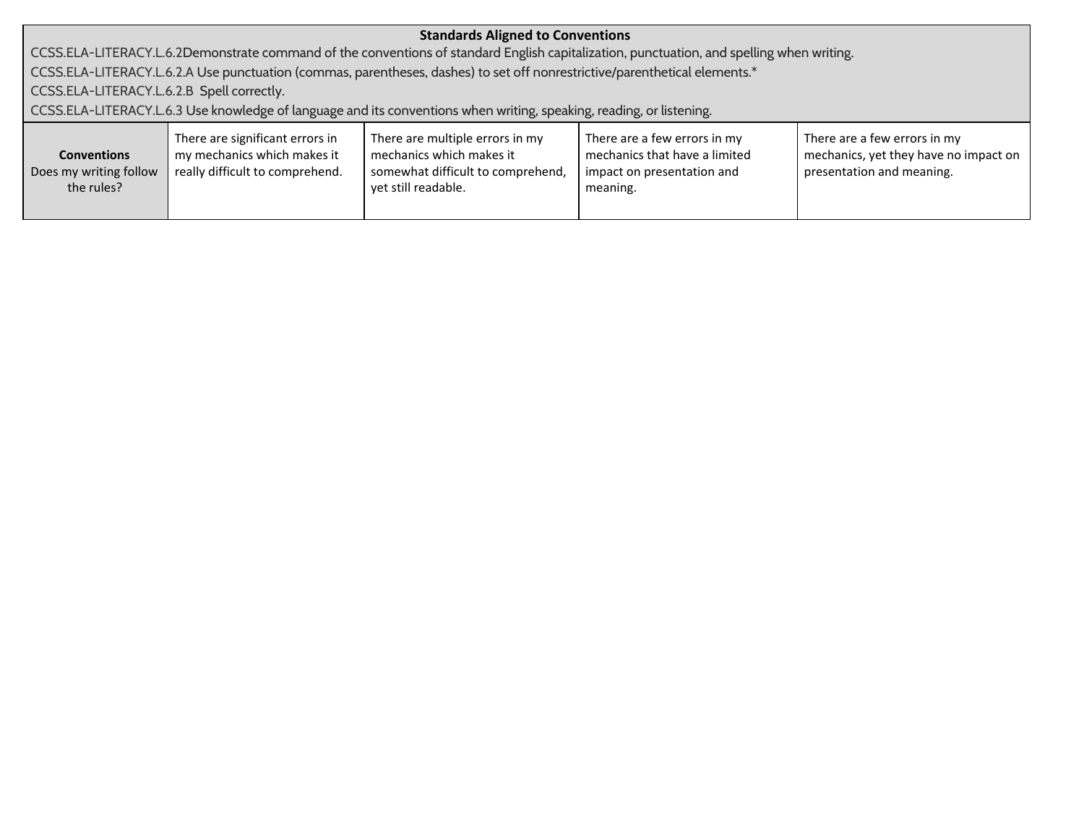| <b>Standards Aligned to Conventions</b>                                                                              |                                                                                                   |                                                                                                                            |                                                                                                                                           |                                                                                                    |
|----------------------------------------------------------------------------------------------------------------------|---------------------------------------------------------------------------------------------------|----------------------------------------------------------------------------------------------------------------------------|-------------------------------------------------------------------------------------------------------------------------------------------|----------------------------------------------------------------------------------------------------|
|                                                                                                                      |                                                                                                   |                                                                                                                            | CCSS.ELA-LITERACY.L.6.2Demonstrate command of the conventions of standard English capitalization, punctuation, and spelling when writing. |                                                                                                    |
|                                                                                                                      |                                                                                                   | CCSS.ELA-LITERACY.L.6.2.A Use punctuation (commas, parentheses, dashes) to set off nonrestrictive/parenthetical elements.* |                                                                                                                                           |                                                                                                    |
| CCSS.ELA-LITERACY.L.6.2.B Spell correctly.                                                                           |                                                                                                   |                                                                                                                            |                                                                                                                                           |                                                                                                    |
| CCSS.ELA-LITERACY.L.6.3 Use knowledge of language and its conventions when writing, speaking, reading, or listening. |                                                                                                   |                                                                                                                            |                                                                                                                                           |                                                                                                    |
| <b>Conventions</b><br>Does my writing follow<br>the rules?                                                           | There are significant errors in<br>my mechanics which makes it<br>really difficult to comprehend. | There are multiple errors in my<br>mechanics which makes it<br>somewhat difficult to comprehend,<br>yet still readable.    | There are a few errors in my<br>mechanics that have a limited<br>impact on presentation and<br>meaning.                                   | There are a few errors in my<br>mechanics, yet they have no impact on<br>presentation and meaning. |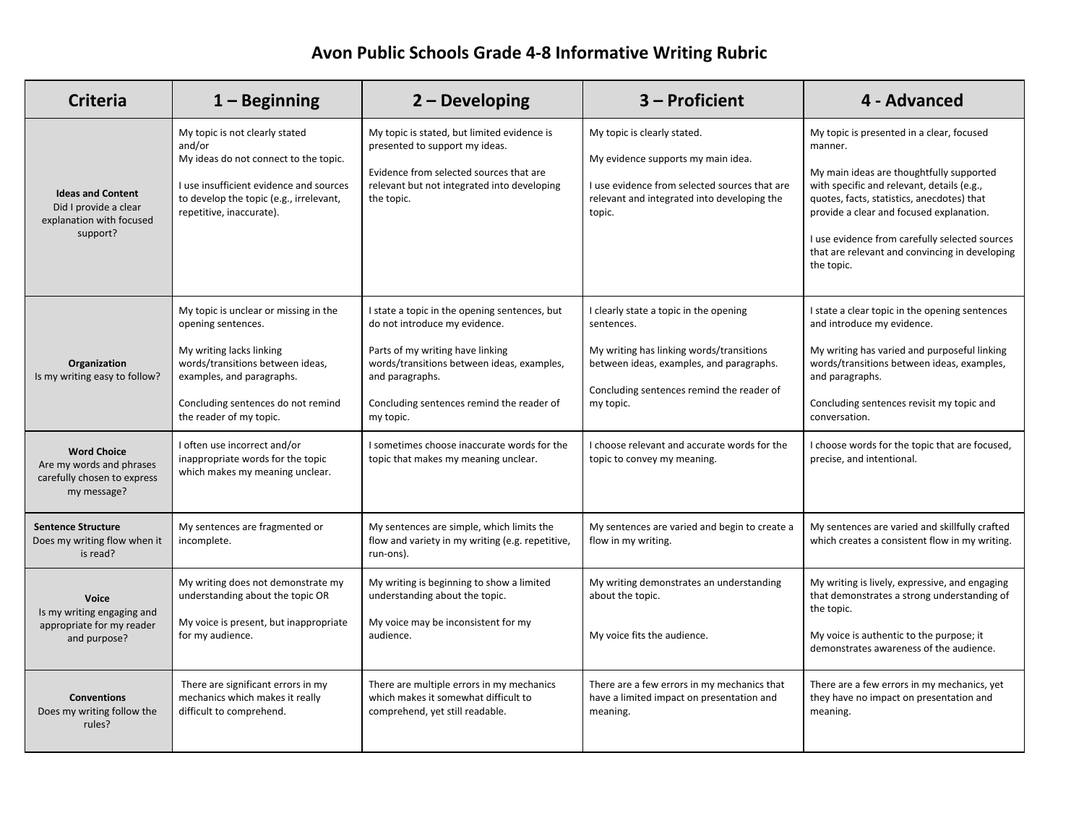# **Avon Public Schools Grade 4-8 Informative Writing Rubric**

| <b>Criteria</b>                                                                              | $1 -$ Beginning                                                                                                                                                                                                           | 2 - Developing                                                                                                                                                                                                                                | 3 – Proficient                                                                                                                                                                                         | 4 - Advanced                                                                                                                                                                                                                                                                                                                                               |
|----------------------------------------------------------------------------------------------|---------------------------------------------------------------------------------------------------------------------------------------------------------------------------------------------------------------------------|-----------------------------------------------------------------------------------------------------------------------------------------------------------------------------------------------------------------------------------------------|--------------------------------------------------------------------------------------------------------------------------------------------------------------------------------------------------------|------------------------------------------------------------------------------------------------------------------------------------------------------------------------------------------------------------------------------------------------------------------------------------------------------------------------------------------------------------|
| <b>Ideas and Content</b><br>Did I provide a clear<br>explanation with focused<br>support?    | My topic is not clearly stated<br>and/or<br>My ideas do not connect to the topic.<br>I use insufficient evidence and sources<br>to develop the topic (e.g., irrelevant,<br>repetitive, inaccurate).                       | My topic is stated, but limited evidence is<br>presented to support my ideas.<br>Evidence from selected sources that are<br>relevant but not integrated into developing<br>the topic.                                                         | My topic is clearly stated.<br>My evidence supports my main idea.<br>I use evidence from selected sources that are<br>relevant and integrated into developing the<br>topic.                            | My topic is presented in a clear, focused<br>manner.<br>My main ideas are thoughtfully supported<br>with specific and relevant, details (e.g.,<br>quotes, facts, statistics, anecdotes) that<br>provide a clear and focused explanation.<br>I use evidence from carefully selected sources<br>that are relevant and convincing in developing<br>the topic. |
| Organization<br>Is my writing easy to follow?                                                | My topic is unclear or missing in the<br>opening sentences.<br>My writing lacks linking<br>words/transitions between ideas,<br>examples, and paragraphs.<br>Concluding sentences do not remind<br>the reader of my topic. | I state a topic in the opening sentences, but<br>do not introduce my evidence.<br>Parts of my writing have linking<br>words/transitions between ideas, examples,<br>and paragraphs.<br>Concluding sentences remind the reader of<br>my topic. | I clearly state a topic in the opening<br>sentences.<br>My writing has linking words/transitions<br>between ideas, examples, and paragraphs.<br>Concluding sentences remind the reader of<br>my topic. | I state a clear topic in the opening sentences<br>and introduce my evidence.<br>My writing has varied and purposeful linking<br>words/transitions between ideas, examples,<br>and paragraphs.<br>Concluding sentences revisit my topic and<br>conversation.                                                                                                |
| <b>Word Choice</b><br>Are my words and phrases<br>carefully chosen to express<br>my message? | I often use incorrect and/or<br>inappropriate words for the topic<br>which makes my meaning unclear.                                                                                                                      | I sometimes choose inaccurate words for the<br>topic that makes my meaning unclear.                                                                                                                                                           | I choose relevant and accurate words for the<br>topic to convey my meaning.                                                                                                                            | I choose words for the topic that are focused,<br>precise, and intentional.                                                                                                                                                                                                                                                                                |
| <b>Sentence Structure</b><br>Does my writing flow when it<br>is read?                        | My sentences are fragmented or<br>incomplete.                                                                                                                                                                             | My sentences are simple, which limits the<br>flow and variety in my writing (e.g. repetitive,<br>run-ons).                                                                                                                                    | My sentences are varied and begin to create a<br>flow in my writing.                                                                                                                                   | My sentences are varied and skillfully crafted<br>which creates a consistent flow in my writing.                                                                                                                                                                                                                                                           |
| Voice<br>Is my writing engaging and<br>appropriate for my reader<br>and purpose?             | My writing does not demonstrate my<br>understanding about the topic OR<br>My voice is present, but inappropriate<br>for my audience.                                                                                      | My writing is beginning to show a limited<br>understanding about the topic.<br>My voice may be inconsistent for my<br>audience.                                                                                                               | My writing demonstrates an understanding<br>about the topic.<br>My voice fits the audience.                                                                                                            | My writing is lively, expressive, and engaging<br>that demonstrates a strong understanding of<br>the topic.<br>My voice is authentic to the purpose; it<br>demonstrates awareness of the audience.                                                                                                                                                         |
| <b>Conventions</b><br>Does my writing follow the<br>rules?                                   | There are significant errors in my<br>mechanics which makes it really<br>difficult to comprehend.                                                                                                                         | There are multiple errors in my mechanics<br>which makes it somewhat difficult to<br>comprehend, yet still readable.                                                                                                                          | There are a few errors in my mechanics that<br>have a limited impact on presentation and<br>meaning.                                                                                                   | There are a few errors in my mechanics, yet<br>they have no impact on presentation and<br>meaning.                                                                                                                                                                                                                                                         |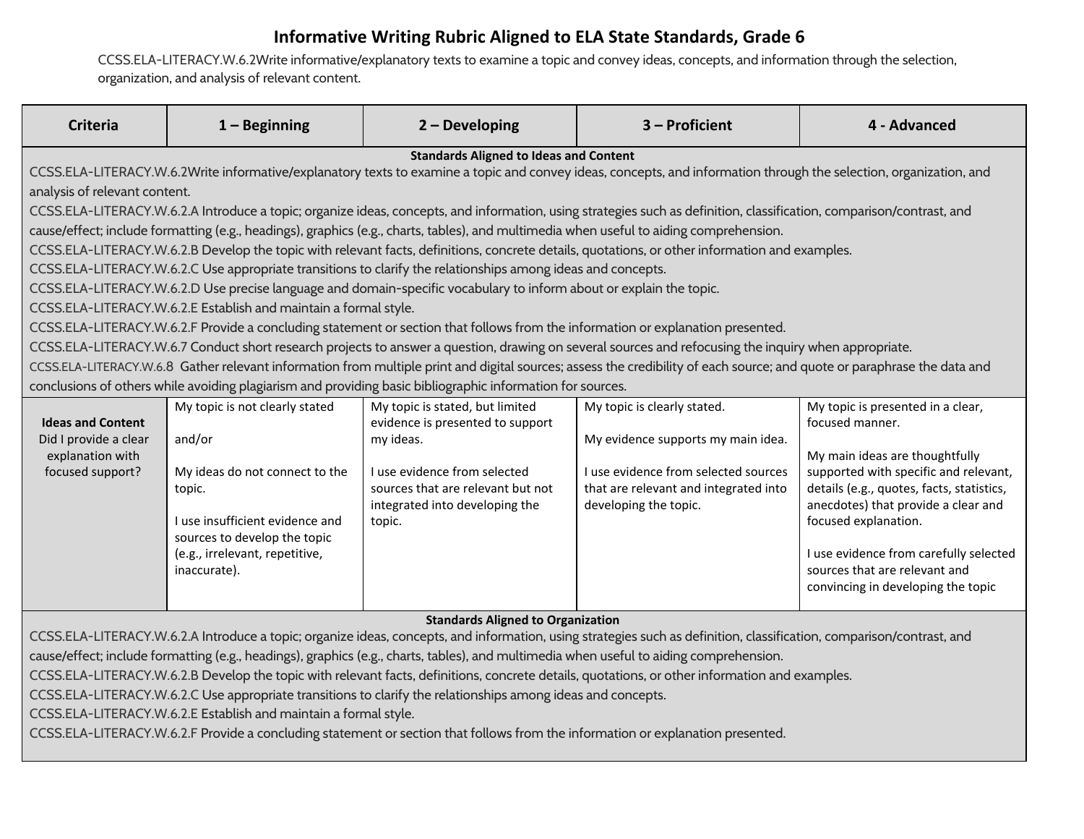#### **Informative Writing Rubric Aligned to ELA State Standards, Grade 6**

[CCSS.ELA-LITERACY.W.6.2](http://www.corestandards.org/ELA-Literacy/W/6/2/)Write informative/explanatory texts to examine a topic and convey ideas, concepts, and information through the selection, organization, and analysis of relevant content.

| <b>Criteria</b>                                                                                                                                                                                                                                                                                                                                                                                                                                                                                                                                                                                                                                                                                                                                                                                                                                                                                                                                                                                                                                                                                                                                                                                                                                                                                                                                                                                                                                                                                                                                                                                                             | $1 -$ Beginning                                                                                                                                                                                           | $2 - Developing$                                                                                                                                                                                  | 3 - Proficient                                                                                                                                                              | 4 - Advanced                                                                                                                                                                                                                                                                                                                                                 |
|-----------------------------------------------------------------------------------------------------------------------------------------------------------------------------------------------------------------------------------------------------------------------------------------------------------------------------------------------------------------------------------------------------------------------------------------------------------------------------------------------------------------------------------------------------------------------------------------------------------------------------------------------------------------------------------------------------------------------------------------------------------------------------------------------------------------------------------------------------------------------------------------------------------------------------------------------------------------------------------------------------------------------------------------------------------------------------------------------------------------------------------------------------------------------------------------------------------------------------------------------------------------------------------------------------------------------------------------------------------------------------------------------------------------------------------------------------------------------------------------------------------------------------------------------------------------------------------------------------------------------------|-----------------------------------------------------------------------------------------------------------------------------------------------------------------------------------------------------------|---------------------------------------------------------------------------------------------------------------------------------------------------------------------------------------------------|-----------------------------------------------------------------------------------------------------------------------------------------------------------------------------|--------------------------------------------------------------------------------------------------------------------------------------------------------------------------------------------------------------------------------------------------------------------------------------------------------------------------------------------------------------|
| <b>Standards Aligned to Ideas and Content</b><br>CCSS.ELA-LITERACY.W.6.2Write informative/explanatory texts to examine a topic and convey ideas, concepts, and information through the selection, organization, and<br>analysis of relevant content.<br>CCSS.ELA-LITERACY.W.6.2.A Introduce a topic; organize ideas, concepts, and information, using strategies such as definition, classification, comparison/contrast, and<br>cause/effect; include formatting (e.g., headings), graphics (e.g., charts, tables), and multimedia when useful to aiding comprehension.<br>CCSS.ELA-LITERACY.W.6.2.B Develop the topic with relevant facts, definitions, concrete details, quotations, or other information and examples.<br>CCSS.ELA-LITERACY.W.6.2.C Use appropriate transitions to clarify the relationships among ideas and concepts.<br>CCSS.ELA-LITERACY.W.6.2.D Use precise language and domain-specific vocabulary to inform about or explain the topic.<br>CCSS.ELA-LITERACY.W.6.2.E Establish and maintain a formal style.<br>CCSS.ELA-LITERACY.W.6.2.F Provide a concluding statement or section that follows from the information or explanation presented.<br>CCSS.ELA-LITERACY.W.6.7 Conduct short research projects to answer a question, drawing on several sources and refocusing the inquiry when appropriate.<br>CCSS.ELA-LITERACY.W.6.8 Gather relevant information from multiple print and digital sources; assess the credibility of each source; and quote or paraphrase the data and<br>conclusions of others while avoiding plagiarism and providing basic bibliographic information for sources. |                                                                                                                                                                                                           |                                                                                                                                                                                                   |                                                                                                                                                                             |                                                                                                                                                                                                                                                                                                                                                              |
| <b>Ideas and Content</b><br>Did I provide a clear<br>explanation with<br>focused support?                                                                                                                                                                                                                                                                                                                                                                                                                                                                                                                                                                                                                                                                                                                                                                                                                                                                                                                                                                                                                                                                                                                                                                                                                                                                                                                                                                                                                                                                                                                                   | My topic is not clearly stated<br>and/or<br>My ideas do not connect to the<br>topic.<br>I use insufficient evidence and<br>sources to develop the topic<br>(e.g., irrelevant, repetitive,<br>inaccurate). | My topic is stated, but limited<br>evidence is presented to support<br>my ideas.<br>I use evidence from selected<br>sources that are relevant but not<br>integrated into developing the<br>topic. | My topic is clearly stated.<br>My evidence supports my main idea.<br>I use evidence from selected sources<br>that are relevant and integrated into<br>developing the topic. | My topic is presented in a clear,<br>focused manner.<br>My main ideas are thoughtfully<br>supported with specific and relevant,<br>details (e.g., quotes, facts, statistics,<br>anecdotes) that provide a clear and<br>focused explanation.<br>I use evidence from carefully selected<br>sources that are relevant and<br>convincing in developing the topic |
|                                                                                                                                                                                                                                                                                                                                                                                                                                                                                                                                                                                                                                                                                                                                                                                                                                                                                                                                                                                                                                                                                                                                                                                                                                                                                                                                                                                                                                                                                                                                                                                                                             |                                                                                                                                                                                                           | <b>Standards Aligned to Organization</b><br>cause/effect; include formatting (e.g., headings), graphics (e.g., charts, tables), and multimedia when useful to aiding comprehension.               | CCSS.ELA-LITERACY.W.6.2.A Introduce a topic; organize ideas, concepts, and information, using strategies such as definition, classification, comparison/contrast, and       |                                                                                                                                                                                                                                                                                                                                                              |

[CCSS.ELA-LITERACY.W.6.2.B](http://www.corestandards.org/ELA-Literacy/W/6/2/b/) Develop the topic with relevant facts, definitions, concrete details, quotations, or other information and examples.

[CCSS.ELA-LITERACY.W.6.2.C](http://www.corestandards.org/ELA-Literacy/W/6/2/c/) Use appropriate transitions to clarify the relationships among ideas and concepts.

[CCSS.ELA-LITERACY.W.6.2.E](http://www.corestandards.org/ELA-Literacy/W/6/2/e/) Establish and maintain a formal style.

[CCSS.ELA-LITERACY.W.6.2.F](http://www.corestandards.org/ELA-Literacy/W/6/2/f/) Provide a concluding statement or section that follows from the information or explanation presented.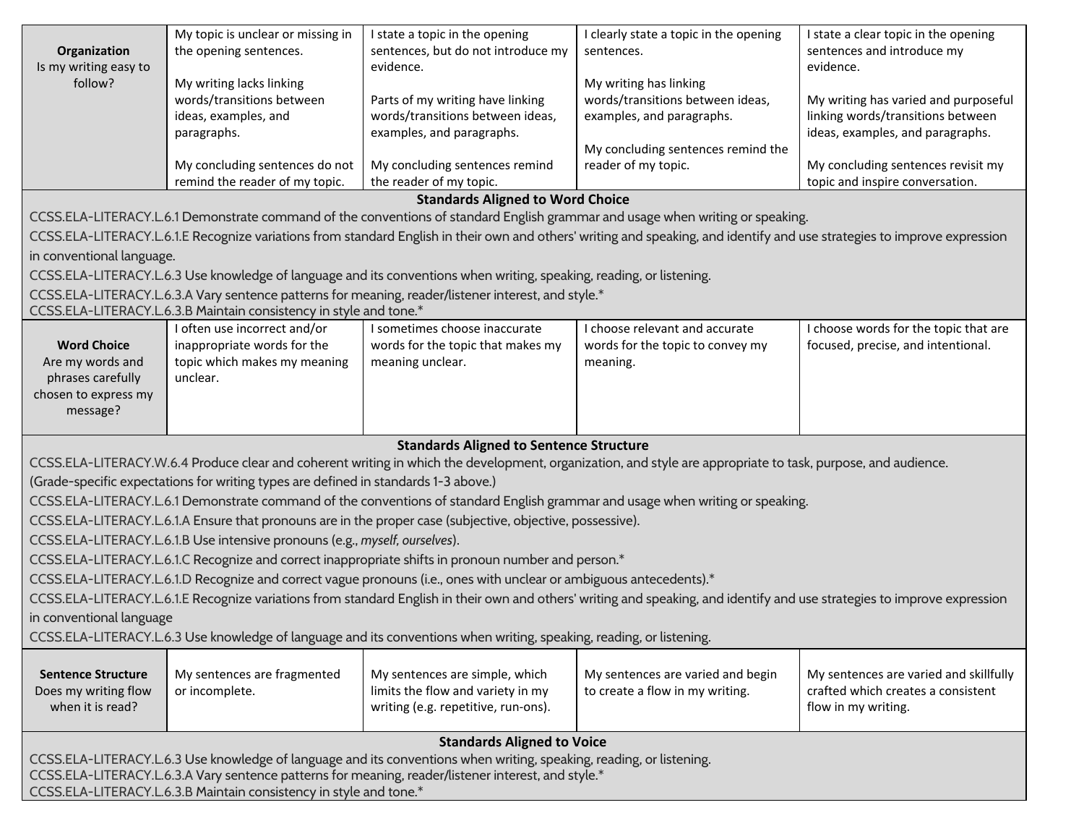|                                                                                                                      | My topic is unclear or missing in                                                   | I state a topic in the opening                                                                                       | I clearly state a topic in the opening                                                                                                                                    | I state a clear topic in the opening                                        |
|----------------------------------------------------------------------------------------------------------------------|-------------------------------------------------------------------------------------|----------------------------------------------------------------------------------------------------------------------|---------------------------------------------------------------------------------------------------------------------------------------------------------------------------|-----------------------------------------------------------------------------|
| Organization<br>Is my writing easy to                                                                                | the opening sentences.                                                              | sentences, but do not introduce my<br>evidence.                                                                      | sentences.                                                                                                                                                                | sentences and introduce my<br>evidence.                                     |
| follow?                                                                                                              | My writing lacks linking                                                            |                                                                                                                      | My writing has linking                                                                                                                                                    |                                                                             |
|                                                                                                                      | words/transitions between                                                           | Parts of my writing have linking                                                                                     | words/transitions between ideas,                                                                                                                                          | My writing has varied and purposeful                                        |
|                                                                                                                      | ideas, examples, and                                                                | words/transitions between ideas,                                                                                     | examples, and paragraphs.                                                                                                                                                 | linking words/transitions between                                           |
|                                                                                                                      | paragraphs.                                                                         | examples, and paragraphs.                                                                                            | My concluding sentences remind the                                                                                                                                        | ideas, examples, and paragraphs.                                            |
|                                                                                                                      | My concluding sentences do not                                                      | My concluding sentences remind                                                                                       | reader of my topic.                                                                                                                                                       | My concluding sentences revisit my                                          |
|                                                                                                                      | remind the reader of my topic.                                                      | the reader of my topic.                                                                                              |                                                                                                                                                                           | topic and inspire conversation.                                             |
|                                                                                                                      |                                                                                     | <b>Standards Aligned to Word Choice</b>                                                                              |                                                                                                                                                                           |                                                                             |
|                                                                                                                      |                                                                                     |                                                                                                                      | CCSS.ELA-LITERACY.L.6.1 Demonstrate command of the conventions of standard English grammar and usage when writing or speaking.                                            |                                                                             |
|                                                                                                                      |                                                                                     |                                                                                                                      | CCSS.ELA-LITERACY.L.6.1.E Recognize variations from standard English in their own and others' writing and speaking, and identify and use strategies to improve expression |                                                                             |
| in conventional language.                                                                                            |                                                                                     |                                                                                                                      |                                                                                                                                                                           |                                                                             |
|                                                                                                                      |                                                                                     | CCSS.ELA-LITERACY.L.6.3 Use knowledge of language and its conventions when writing, speaking, reading, or listening. |                                                                                                                                                                           |                                                                             |
|                                                                                                                      |                                                                                     | CCSS.ELA-LITERACY.L.6.3.A Vary sentence patterns for meaning, reader/listener interest, and style.*                  |                                                                                                                                                                           |                                                                             |
|                                                                                                                      | CCSS.ELA-LITERACY.L.6.3.B Maintain consistency in style and tone.*                  |                                                                                                                      |                                                                                                                                                                           |                                                                             |
| <b>Word Choice</b>                                                                                                   | I often use incorrect and/or<br>inappropriate words for the                         | I sometimes choose inaccurate<br>words for the topic that makes my                                                   | I choose relevant and accurate<br>words for the topic to convey my                                                                                                        | I choose words for the topic that are<br>focused, precise, and intentional. |
| Are my words and                                                                                                     | topic which makes my meaning                                                        | meaning unclear.                                                                                                     | meaning.                                                                                                                                                                  |                                                                             |
| phrases carefully                                                                                                    | unclear.                                                                            |                                                                                                                      |                                                                                                                                                                           |                                                                             |
| chosen to express my                                                                                                 |                                                                                     |                                                                                                                      |                                                                                                                                                                           |                                                                             |
| message?                                                                                                             |                                                                                     |                                                                                                                      |                                                                                                                                                                           |                                                                             |
|                                                                                                                      |                                                                                     | <b>Standards Aligned to Sentence Structure</b>                                                                       |                                                                                                                                                                           |                                                                             |
|                                                                                                                      |                                                                                     |                                                                                                                      | CCSS.ELA-LITERACY.W.6.4 Produce clear and coherent writing in which the development, organization, and style are appropriate to task, purpose, and audience.              |                                                                             |
|                                                                                                                      | (Grade-specific expectations for writing types are defined in standards 1-3 above.) |                                                                                                                      |                                                                                                                                                                           |                                                                             |
|                                                                                                                      |                                                                                     |                                                                                                                      | CCSS.ELA-LITERACY.L.6.1 Demonstrate command of the conventions of standard English grammar and usage when writing or speaking.                                            |                                                                             |
|                                                                                                                      |                                                                                     | CCSS.ELA-LITERACY.L.6.1.A Ensure that pronouns are in the proper case (subjective, objective, possessive).           |                                                                                                                                                                           |                                                                             |
|                                                                                                                      | CCSS.ELA-LITERACY.L.6.1.B Use intensive pronouns (e.g., myself, ourselves).         |                                                                                                                      |                                                                                                                                                                           |                                                                             |
|                                                                                                                      |                                                                                     | CCSS.ELA-LITERACY.L.6.1.C Recognize and correct inappropriate shifts in pronoun number and person.*                  |                                                                                                                                                                           |                                                                             |
|                                                                                                                      |                                                                                     | CCSS.ELA-LITERACY.L.6.1.D Recognize and correct vague pronouns (i.e., ones with unclear or ambiguous antecedents).*  |                                                                                                                                                                           |                                                                             |
|                                                                                                                      |                                                                                     |                                                                                                                      | CCSS.ELA-LITERACY.L.6.1.E Recognize variations from standard English in their own and others' writing and speaking, and identify and use strategies to improve expression |                                                                             |
| in conventional language                                                                                             |                                                                                     |                                                                                                                      |                                                                                                                                                                           |                                                                             |
| CCSS.ELA-LITERACY.L.6.3 Use knowledge of language and its conventions when writing, speaking, reading, or listening. |                                                                                     |                                                                                                                      |                                                                                                                                                                           |                                                                             |
|                                                                                                                      |                                                                                     |                                                                                                                      |                                                                                                                                                                           |                                                                             |
| <b>Sentence Structure</b>                                                                                            | My sentences are fragmented                                                         | My sentences are simple, which                                                                                       | My sentences are varied and begin                                                                                                                                         | My sentences are varied and skillfully                                      |
| Does my writing flow<br>when it is read?                                                                             | or incomplete.                                                                      | limits the flow and variety in my<br>writing (e.g. repetitive, run-ons).                                             | to create a flow in my writing.                                                                                                                                           | crafted which creates a consistent<br>flow in my writing.                   |
|                                                                                                                      |                                                                                     |                                                                                                                      |                                                                                                                                                                           |                                                                             |
|                                                                                                                      |                                                                                     | <b>Standards Aligned to Voice</b>                                                                                    |                                                                                                                                                                           |                                                                             |
|                                                                                                                      |                                                                                     | CCSS.ELA-LITERACY.L.6.3 Use knowledge of language and its conventions when writing, speaking, reading, or listening. |                                                                                                                                                                           |                                                                             |
| CCSS.ELA-LITERACY.L.6.3.A Vary sentence patterns for meaning, reader/listener interest, and style.*                  |                                                                                     |                                                                                                                      |                                                                                                                                                                           |                                                                             |

[CCSS.ELA-LITERACY.L.6.3.B](http://www.corestandards.org/ELA-Literacy/L/6/3/b/) Maintain consistency in style and tone.\*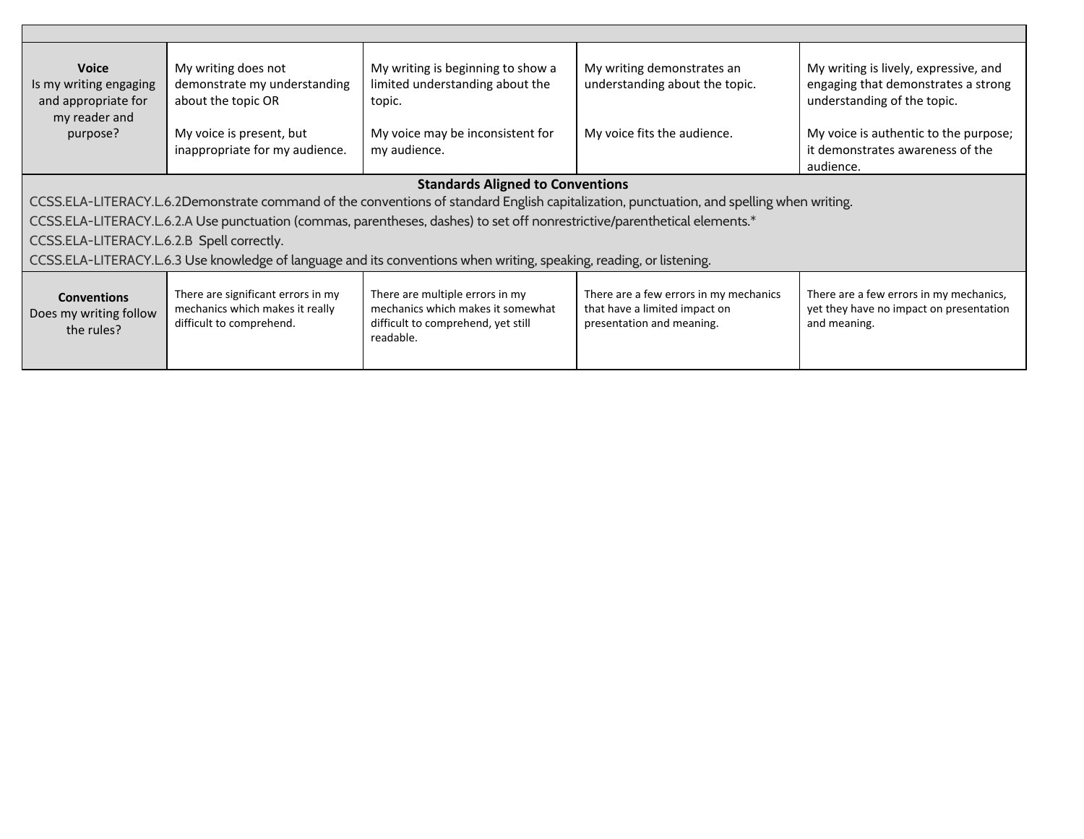| <b>Voice</b><br>Is my writing engaging<br>and appropriate for<br>my reader and | My writing does not<br>demonstrate my understanding<br>about the topic OR                         | My writing is beginning to show a<br>limited understanding about the<br>topic.                                             | My writing demonstrates an<br>understanding about the topic.                                                                              | My writing is lively, expressive, and<br>engaging that demonstrates a strong<br>understanding of the topic. |  |
|--------------------------------------------------------------------------------|---------------------------------------------------------------------------------------------------|----------------------------------------------------------------------------------------------------------------------------|-------------------------------------------------------------------------------------------------------------------------------------------|-------------------------------------------------------------------------------------------------------------|--|
| purpose?                                                                       | My voice is present, but                                                                          | My voice may be inconsistent for                                                                                           | My voice fits the audience.                                                                                                               | My voice is authentic to the purpose;                                                                       |  |
|                                                                                | inappropriate for my audience.                                                                    | my audience.                                                                                                               |                                                                                                                                           | it demonstrates awareness of the<br>audience.                                                               |  |
|                                                                                | <b>Standards Aligned to Conventions</b>                                                           |                                                                                                                            |                                                                                                                                           |                                                                                                             |  |
|                                                                                |                                                                                                   |                                                                                                                            | CCSS.ELA-LITERACY.L.6.2Demonstrate command of the conventions of standard English capitalization, punctuation, and spelling when writing. |                                                                                                             |  |
|                                                                                |                                                                                                   | CCSS.ELA-LITERACY.L.6.2.A Use punctuation (commas, parentheses, dashes) to set off nonrestrictive/parenthetical elements.* |                                                                                                                                           |                                                                                                             |  |
| CCSS.ELA-LITERACY.L.6.2.B Spell correctly.                                     |                                                                                                   |                                                                                                                            |                                                                                                                                           |                                                                                                             |  |
|                                                                                |                                                                                                   | CCSS.ELA-LITERACY.L.6.3 Use knowledge of language and its conventions when writing, speaking, reading, or listening.       |                                                                                                                                           |                                                                                                             |  |
| <b>Conventions</b><br>Does my writing follow<br>the rules?                     | There are significant errors in my<br>mechanics which makes it really<br>difficult to comprehend. | There are multiple errors in my<br>mechanics which makes it somewhat<br>difficult to comprehend, yet still<br>readable.    | There are a few errors in my mechanics<br>that have a limited impact on<br>presentation and meaning.                                      | There are a few errors in my mechanics,<br>yet they have no impact on presentation<br>and meaning.          |  |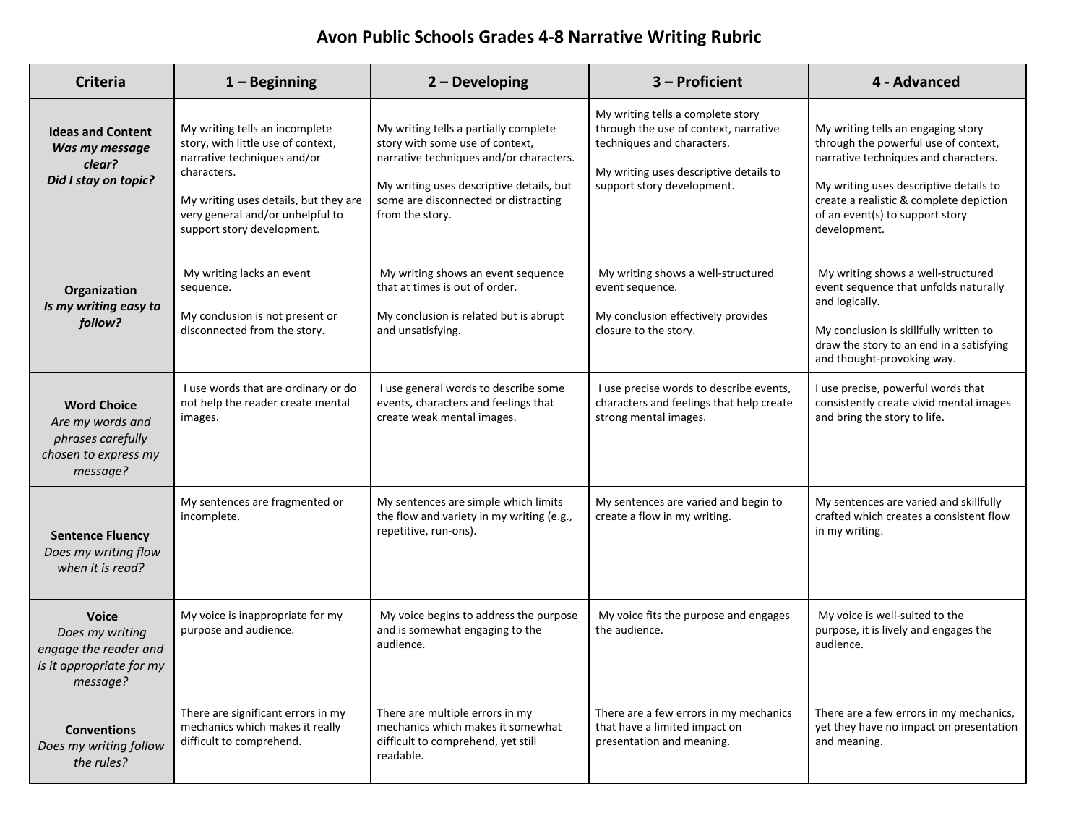### **Avon Public Schools Grades 4-8 Narrative Writing Rubric**

| <b>Criteria</b>                                                                                  | $1 -$ Beginning                                                                                                                                                                                                               | $2 - Developing$                                                                                                                                                                                                           | 3 - Proficient                                                                                                                                                                   | 4 - Advanced                                                                                                                                                                                                                                               |
|--------------------------------------------------------------------------------------------------|-------------------------------------------------------------------------------------------------------------------------------------------------------------------------------------------------------------------------------|----------------------------------------------------------------------------------------------------------------------------------------------------------------------------------------------------------------------------|----------------------------------------------------------------------------------------------------------------------------------------------------------------------------------|------------------------------------------------------------------------------------------------------------------------------------------------------------------------------------------------------------------------------------------------------------|
| <b>Ideas and Content</b><br>Was my message<br>clear?<br>Did I stay on topic?                     | My writing tells an incomplete<br>story, with little use of context,<br>narrative techniques and/or<br>characters.<br>My writing uses details, but they are<br>very general and/or unhelpful to<br>support story development. | My writing tells a partially complete<br>story with some use of context,<br>narrative techniques and/or characters.<br>My writing uses descriptive details, but<br>some are disconnected or distracting<br>from the story. | My writing tells a complete story<br>through the use of context, narrative<br>techniques and characters.<br>My writing uses descriptive details to<br>support story development. | My writing tells an engaging story<br>through the powerful use of context,<br>narrative techniques and characters.<br>My writing uses descriptive details to<br>create a realistic & complete depiction<br>of an event(s) to support story<br>development. |
| Organization<br>Is my writing easy to<br>follow?                                                 | My writing lacks an event<br>sequence.<br>My conclusion is not present or<br>disconnected from the story.                                                                                                                     | My writing shows an event sequence<br>that at times is out of order.<br>My conclusion is related but is abrupt<br>and unsatisfying.                                                                                        | My writing shows a well-structured<br>event sequence.<br>My conclusion effectively provides<br>closure to the story.                                                             | My writing shows a well-structured<br>event sequence that unfolds naturally<br>and logically.<br>My conclusion is skillfully written to<br>draw the story to an end in a satisfying<br>and thought-provoking way.                                          |
| <b>Word Choice</b><br>Are my words and<br>phrases carefully<br>chosen to express my<br>message?  | I use words that are ordinary or do<br>not help the reader create mental<br>images.                                                                                                                                           | I use general words to describe some<br>events, characters and feelings that<br>create weak mental images.                                                                                                                 | I use precise words to describe events,<br>characters and feelings that help create<br>strong mental images.                                                                     | I use precise, powerful words that<br>consistently create vivid mental images<br>and bring the story to life.                                                                                                                                              |
| <b>Sentence Fluency</b><br>Does my writing flow<br>when it is read?                              | My sentences are fragmented or<br>incomplete.                                                                                                                                                                                 | My sentences are simple which limits<br>the flow and variety in my writing (e.g.,<br>repetitive, run-ons).                                                                                                                 | My sentences are varied and begin to<br>create a flow in my writing.                                                                                                             | My sentences are varied and skillfully<br>crafted which creates a consistent flow<br>in my writing.                                                                                                                                                        |
| <b>Voice</b><br>Does my writing<br>engage the reader and<br>is it appropriate for my<br>message? | My voice is inappropriate for my<br>purpose and audience.                                                                                                                                                                     | My voice begins to address the purpose<br>and is somewhat engaging to the<br>audience.                                                                                                                                     | My voice fits the purpose and engages<br>the audience.                                                                                                                           | My voice is well-suited to the<br>purpose, it is lively and engages the<br>audience.                                                                                                                                                                       |
| <b>Conventions</b><br>Does my writing follow<br>the rules?                                       | There are significant errors in my<br>mechanics which makes it really<br>difficult to comprehend.                                                                                                                             | There are multiple errors in my<br>mechanics which makes it somewhat<br>difficult to comprehend, yet still<br>readable.                                                                                                    | There are a few errors in my mechanics<br>that have a limited impact on<br>presentation and meaning.                                                                             | There are a few errors in my mechanics,<br>yet they have no impact on presentation<br>and meaning.                                                                                                                                                         |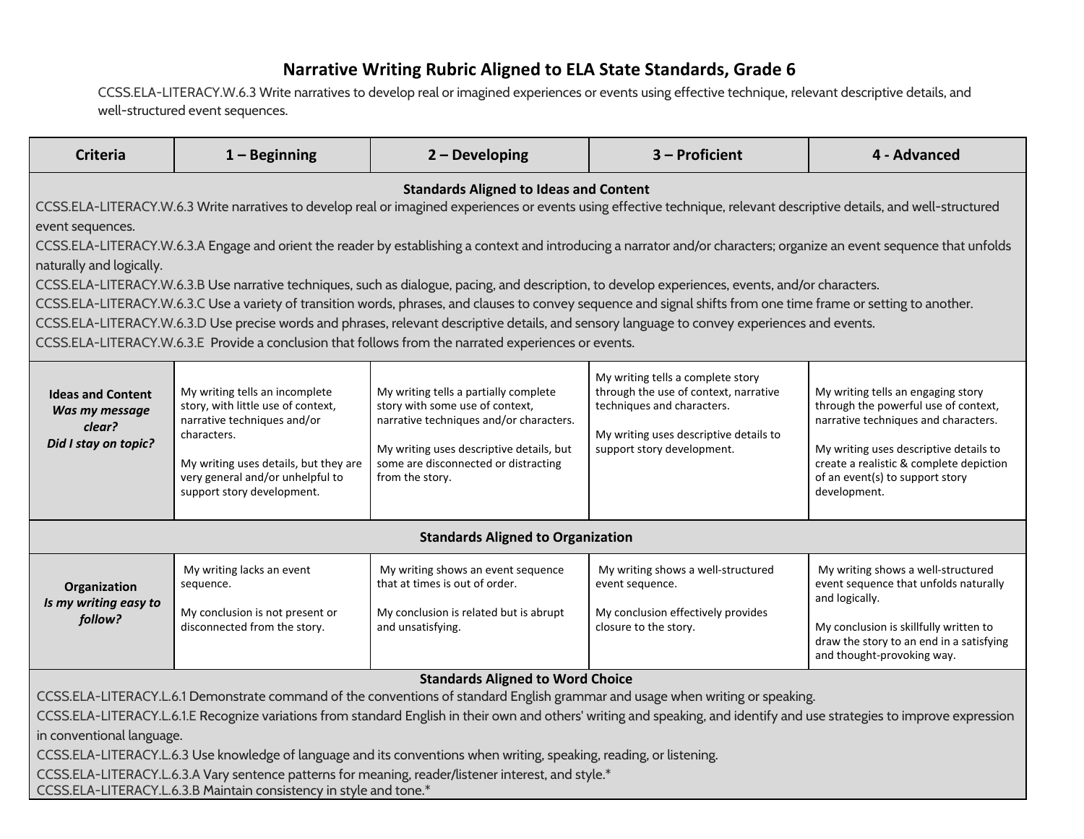#### **Narrative Writing Rubric Aligned to ELA State Standards, Grade 6**

[CCSS.ELA-LITERACY.W.6.3](http://www.corestandards.org/ELA-Literacy/W/6/3/) Write narratives to develop real or imagined experiences or events using effective technique, relevant descriptive details, and well-structured event sequences.

| <b>Criteria</b>                                                                                                                                                                                                                                                                                                                                                                                                                                                                                                                                                                                                                                                                                                                                                                                                                                                                                                                                                                                                                       | $1 -$ Beginning                                                                                                                                                                                                               | $2 - Developing$                                                                                                                                                                                                           | 3 - Proficient                                                                                                                                                                   | 4 - Advanced                                                                                                                                                                                                                                               |
|---------------------------------------------------------------------------------------------------------------------------------------------------------------------------------------------------------------------------------------------------------------------------------------------------------------------------------------------------------------------------------------------------------------------------------------------------------------------------------------------------------------------------------------------------------------------------------------------------------------------------------------------------------------------------------------------------------------------------------------------------------------------------------------------------------------------------------------------------------------------------------------------------------------------------------------------------------------------------------------------------------------------------------------|-------------------------------------------------------------------------------------------------------------------------------------------------------------------------------------------------------------------------------|----------------------------------------------------------------------------------------------------------------------------------------------------------------------------------------------------------------------------|----------------------------------------------------------------------------------------------------------------------------------------------------------------------------------|------------------------------------------------------------------------------------------------------------------------------------------------------------------------------------------------------------------------------------------------------------|
| <b>Standards Aligned to Ideas and Content</b><br>CCSS.ELA-LITERACY.W.6.3 Write narratives to develop real or imagined experiences or events using effective technique, relevant descriptive details, and well-structured<br>event sequences.<br>CCSS.ELA-LITERACY.W.6.3.A Engage and orient the reader by establishing a context and introducing a narrator and/or characters; organize an event sequence that unfolds<br>naturally and logically.<br>CCSS.ELA-LITERACY.W.6.3.B Use narrative techniques, such as dialogue, pacing, and description, to develop experiences, events, and/or characters.<br>CCSS.ELA-LITERACY.W.6.3.C Use a variety of transition words, phrases, and clauses to convey sequence and signal shifts from one time frame or setting to another.<br>CCSS.ELA-LITERACY.W.6.3.D Use precise words and phrases, relevant descriptive details, and sensory language to convey experiences and events.<br>CCSS.ELA-LITERACY.W.6.3.E Provide a conclusion that follows from the narrated experiences or events. |                                                                                                                                                                                                                               |                                                                                                                                                                                                                            |                                                                                                                                                                                  |                                                                                                                                                                                                                                                            |
| <b>Ideas and Content</b><br>Was my message<br>clear?<br>Did I stay on topic?                                                                                                                                                                                                                                                                                                                                                                                                                                                                                                                                                                                                                                                                                                                                                                                                                                                                                                                                                          | My writing tells an incomplete<br>story, with little use of context,<br>narrative techniques and/or<br>characters.<br>My writing uses details, but they are<br>very general and/or unhelpful to<br>support story development. | My writing tells a partially complete<br>story with some use of context,<br>narrative techniques and/or characters.<br>My writing uses descriptive details, but<br>some are disconnected or distracting<br>from the story. | My writing tells a complete story<br>through the use of context, narrative<br>techniques and characters.<br>My writing uses descriptive details to<br>support story development. | My writing tells an engaging story<br>through the powerful use of context,<br>narrative techniques and characters.<br>My writing uses descriptive details to<br>create a realistic & complete depiction<br>of an event(s) to support story<br>development. |
|                                                                                                                                                                                                                                                                                                                                                                                                                                                                                                                                                                                                                                                                                                                                                                                                                                                                                                                                                                                                                                       |                                                                                                                                                                                                                               | <b>Standards Aligned to Organization</b>                                                                                                                                                                                   |                                                                                                                                                                                  |                                                                                                                                                                                                                                                            |
| Organization<br>Is my writing easy to<br>follow?                                                                                                                                                                                                                                                                                                                                                                                                                                                                                                                                                                                                                                                                                                                                                                                                                                                                                                                                                                                      | My writing lacks an event<br>sequence.<br>My conclusion is not present or<br>disconnected from the story.                                                                                                                     | My writing shows an event sequence<br>that at times is out of order.<br>My conclusion is related but is abrupt<br>and unsatisfying.                                                                                        | My writing shows a well-structured<br>event sequence.<br>My conclusion effectively provides<br>closure to the story.                                                             | My writing shows a well-structured<br>event sequence that unfolds naturally<br>and logically.<br>My conclusion is skillfully written to<br>draw the story to an end in a satisfying<br>and thought-provoking way.                                          |
| <b>Standards Aligned to Word Choice</b><br>CCSS.ELA-LITERACY.L.6.1 Demonstrate command of the conventions of standard English grammar and usage when writing or speaking.<br>CCSS.ELA-LITERACY.L.6.1.E Recognize variations from standard English in their own and others' writing and speaking, and identify and use strategies to improve expression<br>in conventional language.<br>CCSS.ELA-LITERACY.L.6.3 Use knowledge of language and its conventions when writing, speaking, reading, or listening.<br>CCSS.ELA-LITERACY.L.6.3.A Vary sentence patterns for meaning, reader/listener interest, and style.*<br>CCSS.ELA-LITERACY.L.6.3.B Maintain consistency in style and tone.*                                                                                                                                                                                                                                                                                                                                              |                                                                                                                                                                                                                               |                                                                                                                                                                                                                            |                                                                                                                                                                                  |                                                                                                                                                                                                                                                            |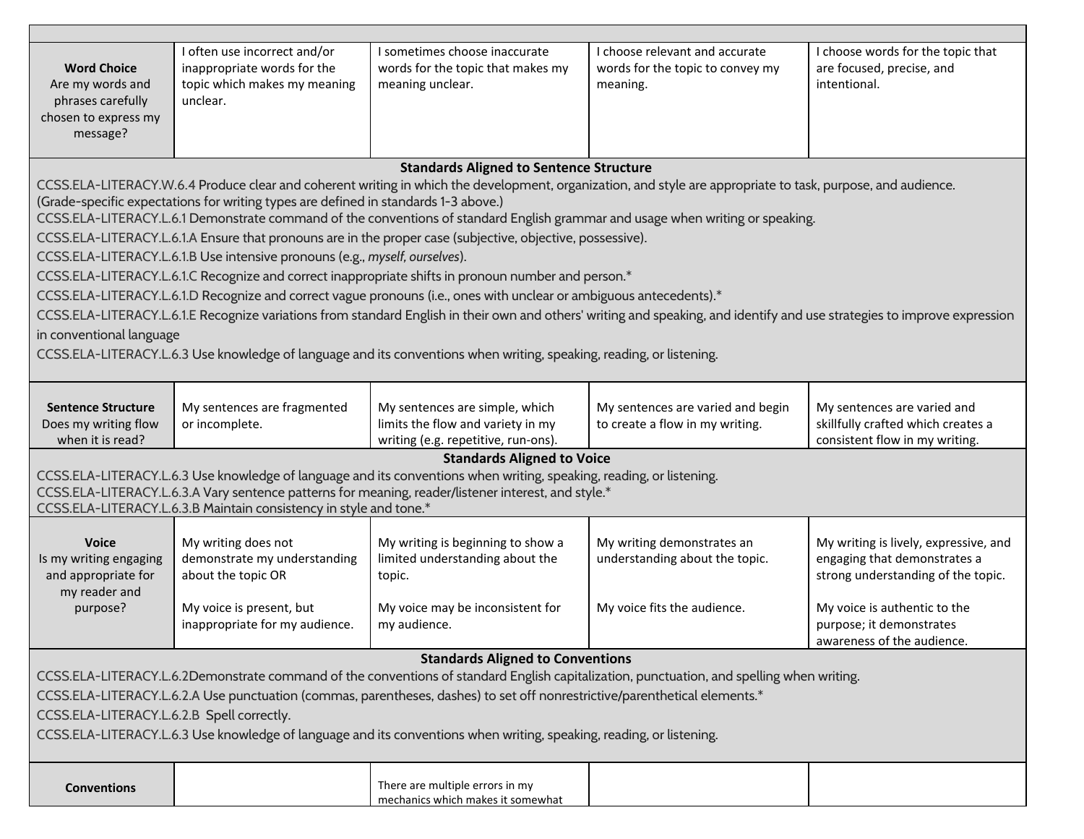|                                                                                                                                                                                      | I often use incorrect and/or                                                        | I sometimes choose inaccurate                                                                                              | I choose relevant and accurate                                                                                                                                            | I choose words for the topic that     |
|--------------------------------------------------------------------------------------------------------------------------------------------------------------------------------------|-------------------------------------------------------------------------------------|----------------------------------------------------------------------------------------------------------------------------|---------------------------------------------------------------------------------------------------------------------------------------------------------------------------|---------------------------------------|
| <b>Word Choice</b>                                                                                                                                                                   | inappropriate words for the                                                         | words for the topic that makes my                                                                                          | words for the topic to convey my                                                                                                                                          | are focused, precise, and             |
| Are my words and                                                                                                                                                                     | topic which makes my meaning                                                        | meaning unclear.                                                                                                           | meaning.                                                                                                                                                                  | intentional.                          |
| phrases carefully                                                                                                                                                                    | unclear.                                                                            |                                                                                                                            |                                                                                                                                                                           |                                       |
| chosen to express my                                                                                                                                                                 |                                                                                     |                                                                                                                            |                                                                                                                                                                           |                                       |
| message?                                                                                                                                                                             |                                                                                     |                                                                                                                            |                                                                                                                                                                           |                                       |
|                                                                                                                                                                                      |                                                                                     |                                                                                                                            |                                                                                                                                                                           |                                       |
|                                                                                                                                                                                      |                                                                                     | <b>Standards Aligned to Sentence Structure</b>                                                                             |                                                                                                                                                                           |                                       |
|                                                                                                                                                                                      |                                                                                     |                                                                                                                            | CCSS.ELA-LITERACY.W.6.4 Produce clear and coherent writing in which the development, organization, and style are appropriate to task, purpose, and audience.              |                                       |
|                                                                                                                                                                                      | (Grade-specific expectations for writing types are defined in standards 1-3 above.) |                                                                                                                            |                                                                                                                                                                           |                                       |
|                                                                                                                                                                                      |                                                                                     |                                                                                                                            | CCSS.ELA-LITERACY.L.6.1 Demonstrate command of the conventions of standard English grammar and usage when writing or speaking.                                            |                                       |
|                                                                                                                                                                                      |                                                                                     | CCSS.ELA-LITERACY.L.6.1.A Ensure that pronouns are in the proper case (subjective, objective, possessive).                 |                                                                                                                                                                           |                                       |
|                                                                                                                                                                                      | CCSS.ELA-LITERACY.L.6.1.B Use intensive pronouns (e.g., myself, ourselves).         |                                                                                                                            |                                                                                                                                                                           |                                       |
|                                                                                                                                                                                      |                                                                                     | CCSS.ELA-LITERACY.L.6.1.C Recognize and correct inappropriate shifts in pronoun number and person.*                        |                                                                                                                                                                           |                                       |
|                                                                                                                                                                                      |                                                                                     | CCSS.ELA-LITERACY.L.6.1.D Recognize and correct vague pronouns (i.e., ones with unclear or ambiguous antecedents).*        |                                                                                                                                                                           |                                       |
|                                                                                                                                                                                      |                                                                                     |                                                                                                                            | CCSS.ELA-LITERACY.L.6.1.E Recognize variations from standard English in their own and others' writing and speaking, and identify and use strategies to improve expression |                                       |
| in conventional language                                                                                                                                                             |                                                                                     |                                                                                                                            |                                                                                                                                                                           |                                       |
|                                                                                                                                                                                      |                                                                                     | CCSS.ELA-LITERACY.L.6.3 Use knowledge of language and its conventions when writing, speaking, reading, or listening.       |                                                                                                                                                                           |                                       |
|                                                                                                                                                                                      |                                                                                     |                                                                                                                            |                                                                                                                                                                           |                                       |
|                                                                                                                                                                                      |                                                                                     |                                                                                                                            |                                                                                                                                                                           |                                       |
| <b>Sentence Structure</b>                                                                                                                                                            | My sentences are fragmented                                                         | My sentences are simple, which                                                                                             | My sentences are varied and begin                                                                                                                                         | My sentences are varied and           |
| Does my writing flow                                                                                                                                                                 | or incomplete.                                                                      | limits the flow and variety in my                                                                                          | to create a flow in my writing.                                                                                                                                           | skillfully crafted which creates a    |
| when it is read?                                                                                                                                                                     |                                                                                     | writing (e.g. repetitive, run-ons).                                                                                        |                                                                                                                                                                           | consistent flow in my writing.        |
|                                                                                                                                                                                      |                                                                                     | <b>Standards Aligned to Voice</b>                                                                                          |                                                                                                                                                                           |                                       |
|                                                                                                                                                                                      |                                                                                     | CCSS.ELA-LITERACY.L.6.3 Use knowledge of language and its conventions when writing, speaking, reading, or listening.       |                                                                                                                                                                           |                                       |
|                                                                                                                                                                                      |                                                                                     | CCSS.ELA-LITERACY.L.6.3.A Vary sentence patterns for meaning, reader/listener interest, and style.*                        |                                                                                                                                                                           |                                       |
|                                                                                                                                                                                      | CCSS.ELA-LITERACY.L.6.3.B Maintain consistency in style and tone.*                  |                                                                                                                            |                                                                                                                                                                           |                                       |
|                                                                                                                                                                                      |                                                                                     |                                                                                                                            |                                                                                                                                                                           |                                       |
| <b>Voice</b>                                                                                                                                                                         | My writing does not                                                                 | My writing is beginning to show a                                                                                          | My writing demonstrates an                                                                                                                                                | My writing is lively, expressive, and |
| Is my writing engaging                                                                                                                                                               | demonstrate my understanding                                                        | limited understanding about the                                                                                            | understanding about the topic.                                                                                                                                            | engaging that demonstrates a          |
| and appropriate for                                                                                                                                                                  | about the topic OR                                                                  | topic.                                                                                                                     |                                                                                                                                                                           | strong understanding of the topic.    |
| my reader and                                                                                                                                                                        |                                                                                     |                                                                                                                            |                                                                                                                                                                           |                                       |
| purpose?                                                                                                                                                                             | My voice is present, but                                                            | My voice may be inconsistent for                                                                                           | My voice fits the audience.                                                                                                                                               | My voice is authentic to the          |
|                                                                                                                                                                                      | inappropriate for my audience.                                                      | my audience.                                                                                                               |                                                                                                                                                                           | purpose; it demonstrates              |
|                                                                                                                                                                                      |                                                                                     |                                                                                                                            |                                                                                                                                                                           | awareness of the audience.            |
| <b>Standards Aligned to Conventions</b><br>CCSS.ELA-LITERACY.L.6.2Demonstrate command of the conventions of standard English capitalization, punctuation, and spelling when writing. |                                                                                     |                                                                                                                            |                                                                                                                                                                           |                                       |
|                                                                                                                                                                                      |                                                                                     |                                                                                                                            |                                                                                                                                                                           |                                       |
|                                                                                                                                                                                      |                                                                                     | CCSS.ELA-LITERACY.L.6.2.A Use punctuation (commas, parentheses, dashes) to set off nonrestrictive/parenthetical elements.* |                                                                                                                                                                           |                                       |
| CCSS.ELA-LITERACY.L.6.2.B Spell correctly.                                                                                                                                           |                                                                                     |                                                                                                                            |                                                                                                                                                                           |                                       |
| CCSS.ELA-LITERACY.L.6.3 Use knowledge of language and its conventions when writing, speaking, reading, or listening.                                                                 |                                                                                     |                                                                                                                            |                                                                                                                                                                           |                                       |
|                                                                                                                                                                                      |                                                                                     |                                                                                                                            |                                                                                                                                                                           |                                       |
|                                                                                                                                                                                      |                                                                                     |                                                                                                                            |                                                                                                                                                                           |                                       |
| <b>Conventions</b>                                                                                                                                                                   |                                                                                     | There are multiple errors in my                                                                                            |                                                                                                                                                                           |                                       |
|                                                                                                                                                                                      |                                                                                     | mechanics which makes it somewhat                                                                                          |                                                                                                                                                                           |                                       |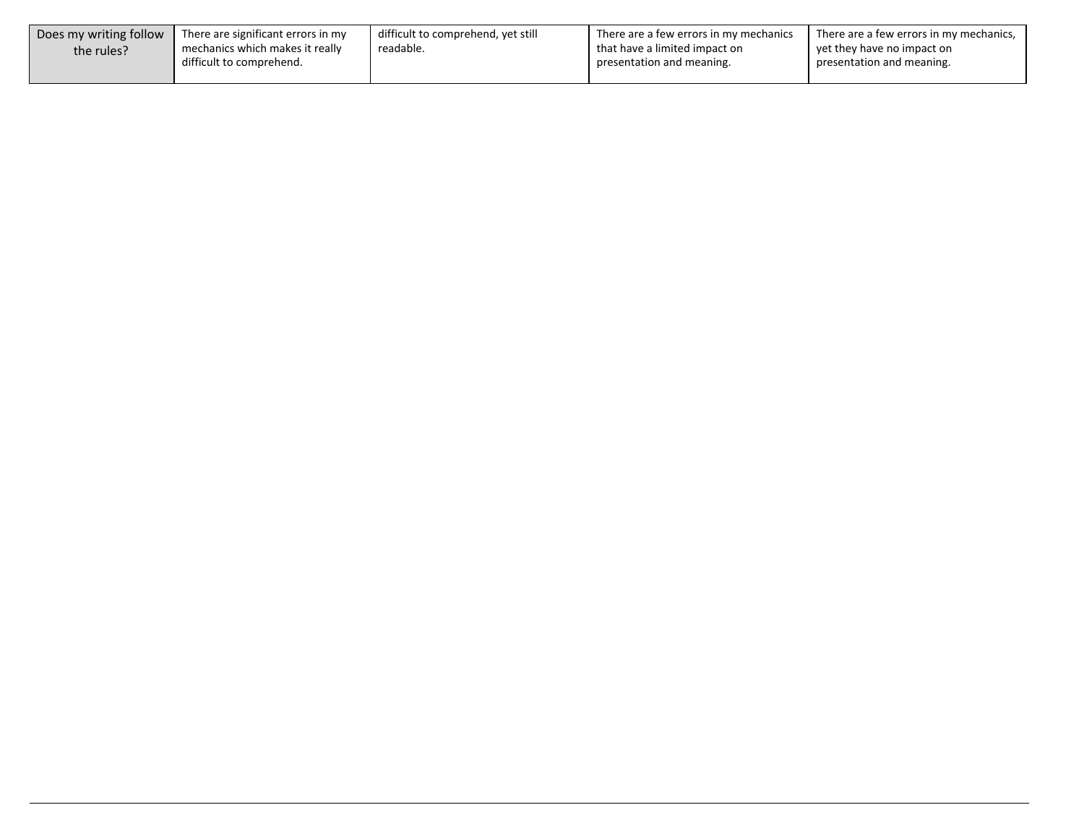| Does my writing follow | There are significant errors in my | difficult to comprehend, yet still | There are a few errors in my mechanics | I There are a few errors in my mechanics, |
|------------------------|------------------------------------|------------------------------------|----------------------------------------|-------------------------------------------|
| the rules?             | mechanics which makes it really    | readable.                          | that have a limited impact on          | vet they have no impact on                |
|                        | difficult to comprehend.           |                                    | presentation and meaning.              | presentation and meaning.                 |
|                        |                                    |                                    |                                        |                                           |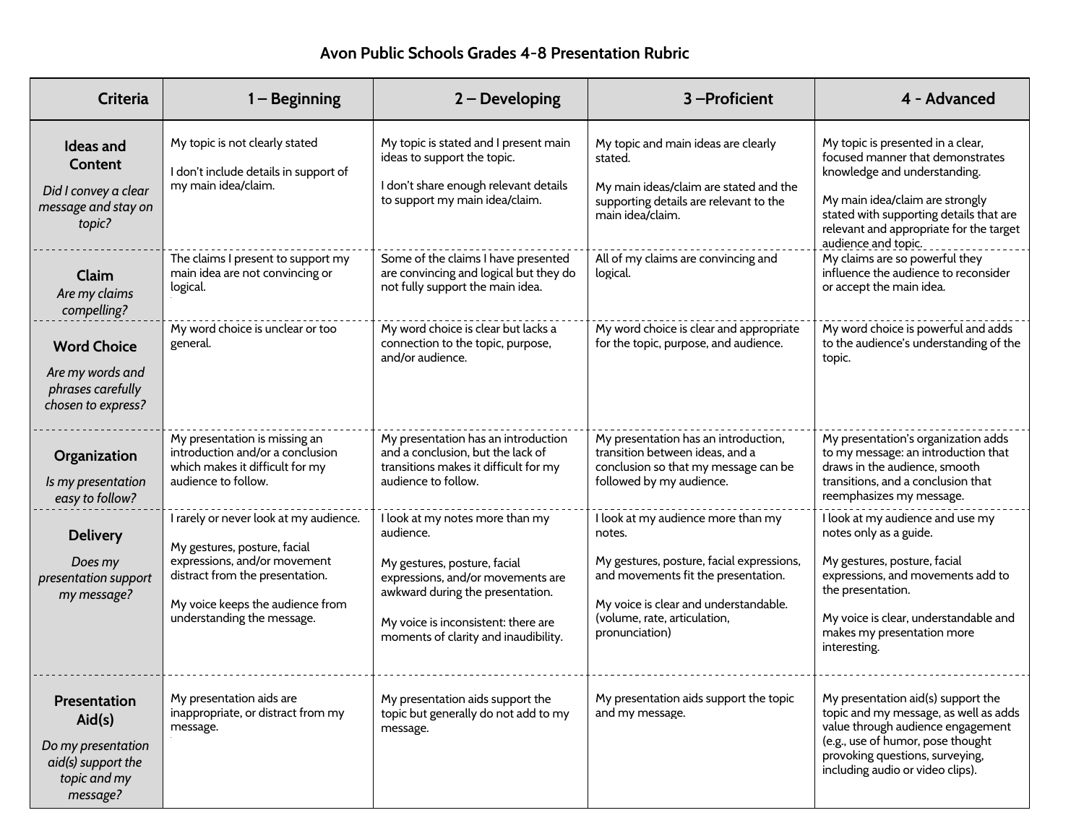#### **Avon Public Schools Grades 4-8 Presentation Rubric**

| <b>Criteria</b>                                                                                | $1 -$ Beginning                                                                                                                                                                                             | $2 - Developing$                                                                                                                                                                                                                     | 3-Proficient                                                                                                                                                                                                                | 4 - Advanced                                                                                                                                                                                                                                          |
|------------------------------------------------------------------------------------------------|-------------------------------------------------------------------------------------------------------------------------------------------------------------------------------------------------------------|--------------------------------------------------------------------------------------------------------------------------------------------------------------------------------------------------------------------------------------|-----------------------------------------------------------------------------------------------------------------------------------------------------------------------------------------------------------------------------|-------------------------------------------------------------------------------------------------------------------------------------------------------------------------------------------------------------------------------------------------------|
| <b>Ideas and</b><br>Content<br>Did I convey a clear<br>message and stay on<br>topic?           | My topic is not clearly stated<br>I don't include details in support of<br>my main idea/claim.                                                                                                              | My topic is stated and I present main<br>ideas to support the topic.<br>I don't share enough relevant details<br>to support my main idea/claim.                                                                                      | My topic and main ideas are clearly<br>stated.<br>My main ideas/claim are stated and the<br>supporting details are relevant to the<br>main idea/claim.                                                                      | My topic is presented in a clear,<br>focused manner that demonstrates<br>knowledge and understanding.<br>My main idea/claim are strongly<br>stated with supporting details that are<br>relevant and appropriate for the target<br>audience and topic. |
| Claim<br>Are my claims<br>compelling?                                                          | The claims I present to support my<br>main idea are not convincing or<br>logical.                                                                                                                           | Some of the claims I have presented<br>are convincing and logical but they do<br>not fully support the main idea.                                                                                                                    | All of my claims are convincing and<br>logical.                                                                                                                                                                             | My claims are so powerful they<br>influence the audience to reconsider<br>or accept the main idea.                                                                                                                                                    |
| <b>Word Choice</b><br>Are my words and<br>phrases carefully<br>chosen to express?              | My word choice is unclear or too<br>general.                                                                                                                                                                | My word choice is clear but lacks a<br>connection to the topic, purpose,<br>and/or audience.                                                                                                                                         | My word choice is clear and appropriate<br>for the topic, purpose, and audience.                                                                                                                                            | My word choice is powerful and adds<br>to the audience's understanding of the<br>topic.                                                                                                                                                               |
| Organization<br>Is my presentation<br>easy to follow?                                          | My presentation is missing an<br>introduction and/or a conclusion<br>which makes it difficult for my<br>audience to follow.                                                                                 | My presentation has an introduction<br>and a conclusion, but the lack of<br>transitions makes it difficult for my<br>audience to follow.                                                                                             | My presentation has an introduction,<br>transition between ideas, and a<br>conclusion so that my message can be<br>followed by my audience.                                                                                 | My presentation's organization adds<br>to my message: an introduction that<br>draws in the audience, smooth<br>transitions, and a conclusion that<br>reemphasizes my message.                                                                         |
| <b>Delivery</b><br>Does my<br>presentation support<br>my message?                              | I rarely or never look at my audience.<br>My gestures, posture, facial<br>expressions, and/or movement<br>distract from the presentation.<br>My voice keeps the audience from<br>understanding the message. | I look at my notes more than my<br>audience.<br>My gestures, posture, facial<br>expressions, and/or movements are<br>awkward during the presentation.<br>My voice is inconsistent: there are<br>moments of clarity and inaudibility. | I look at my audience more than my<br>notes.<br>My gestures, posture, facial expressions,<br>and movements fit the presentation.<br>My voice is clear and understandable.<br>(volume, rate, articulation,<br>pronunciation) | I look at my audience and use my<br>notes only as a guide.<br>My gestures, posture, facial<br>expressions, and movements add to<br>the presentation.<br>My voice is clear, understandable and<br>makes my presentation more<br>interesting.           |
| Presentation<br>Aid(s)<br>Do my presentation<br>aid(s) support the<br>topic and my<br>message? | My presentation aids are<br>inappropriate, or distract from my<br>message.                                                                                                                                  | My presentation aids support the<br>topic but generally do not add to my<br>message.                                                                                                                                                 | My presentation aids support the topic<br>and my message.                                                                                                                                                                   | My presentation aid(s) support the<br>topic and my message, as well as adds<br>value through audience engagement<br>(e.g., use of humor, pose thought<br>provoking questions, surveying,<br>including audio or video clips).                          |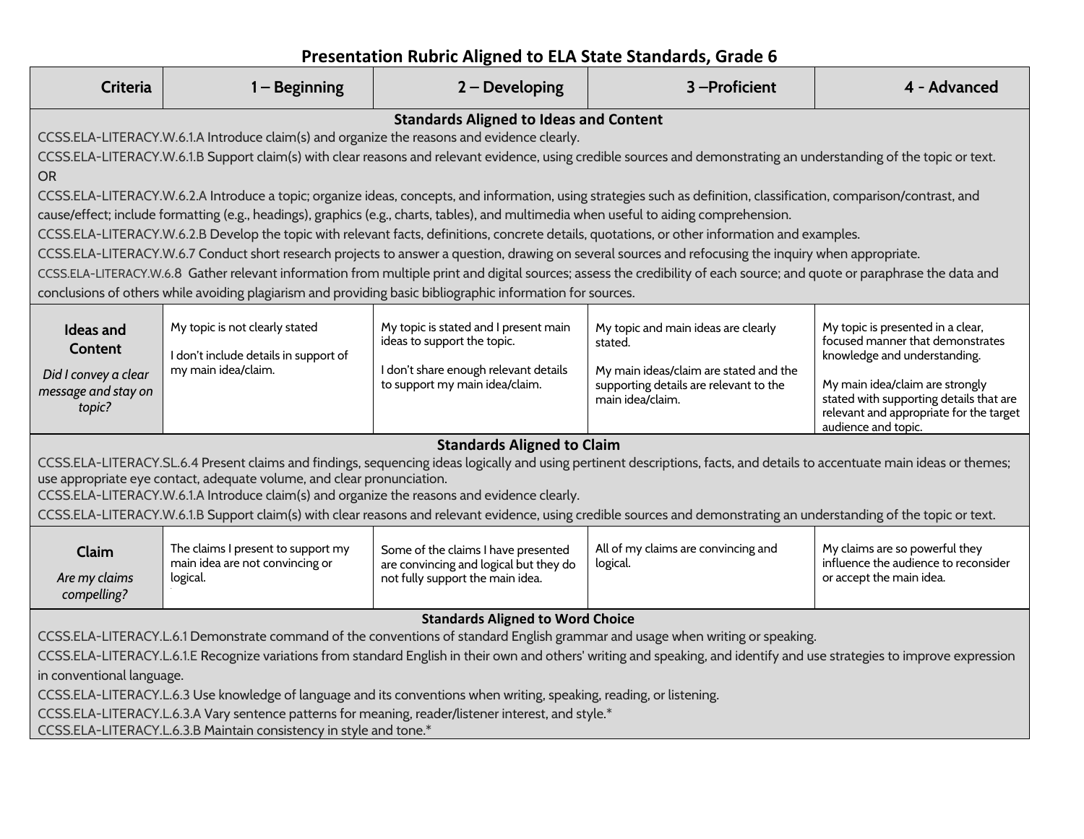| <b>Presentation Rubric Aligned to ELA State Standards, Grade 6</b> |  |
|--------------------------------------------------------------------|--|
|--------------------------------------------------------------------|--|

| <b>Criteria</b>                                                                                                                                                                                                                                                                                                                                    | $1 -$ Beginning                                                                   | $2 - Developing$                                                                                                  | 3-Proficient                                                                                                                                                             | 4 - Advanced                                                                                                                                 |
|----------------------------------------------------------------------------------------------------------------------------------------------------------------------------------------------------------------------------------------------------------------------------------------------------------------------------------------------------|-----------------------------------------------------------------------------------|-------------------------------------------------------------------------------------------------------------------|--------------------------------------------------------------------------------------------------------------------------------------------------------------------------|----------------------------------------------------------------------------------------------------------------------------------------------|
| <b>Standards Aligned to Ideas and Content</b><br>CCSS.ELA-LITERACY.W.6.1.A Introduce claim(s) and organize the reasons and evidence clearly.                                                                                                                                                                                                       |                                                                                   |                                                                                                                   |                                                                                                                                                                          |                                                                                                                                              |
| CCSS.ELA-LITERACY.W.6.1.B Support claim(s) with clear reasons and relevant evidence, using credible sources and demonstrating an understanding of the topic or text.<br>OR.                                                                                                                                                                        |                                                                                   |                                                                                                                   |                                                                                                                                                                          |                                                                                                                                              |
| CCSS.ELA-LITERACY.W.6.2.A Introduce a topic; organize ideas, concepts, and information, using strategies such as definition, classification, comparison/contrast, and<br>cause/effect; include formatting (e.g., headings), graphics (e.g., charts, tables), and multimedia when useful to aiding comprehension.                                   |                                                                                   |                                                                                                                   |                                                                                                                                                                          |                                                                                                                                              |
|                                                                                                                                                                                                                                                                                                                                                    |                                                                                   |                                                                                                                   | CCSS.ELA-LITERACY.W.6.2.B Develop the topic with relevant facts, definitions, concrete details, quotations, or other information and examples.                           |                                                                                                                                              |
|                                                                                                                                                                                                                                                                                                                                                    |                                                                                   |                                                                                                                   | CCSS.ELA-LITERACY.W.6.7 Conduct short research projects to answer a question, drawing on several sources and refocusing the inquiry when appropriate.                    |                                                                                                                                              |
|                                                                                                                                                                                                                                                                                                                                                    |                                                                                   |                                                                                                                   | CCSS.ELA-LITERACY.W.6.8 Gather relevant information from multiple print and digital sources; assess the credibility of each source; and quote or paraphrase the data and |                                                                                                                                              |
|                                                                                                                                                                                                                                                                                                                                                    |                                                                                   | conclusions of others while avoiding plagiarism and providing basic bibliographic information for sources.        |                                                                                                                                                                          |                                                                                                                                              |
| <b>Ideas and</b><br><b>Content</b>                                                                                                                                                                                                                                                                                                                 | My topic is not clearly stated<br>I don't include details in support of           | My topic is stated and I present main<br>ideas to support the topic.                                              | My topic and main ideas are clearly<br>stated.                                                                                                                           | My topic is presented in a clear,<br>focused manner that demonstrates<br>knowledge and understanding.                                        |
| Did I convey a clear<br>message and stay on<br>topic?                                                                                                                                                                                                                                                                                              | my main idea/claim.                                                               | I don't share enough relevant details<br>to support my main idea/claim.                                           | My main ideas/claim are stated and the<br>supporting details are relevant to the<br>main idea/claim.                                                                     | My main idea/claim are strongly<br>stated with supporting details that are<br>relevant and appropriate for the target<br>audience and topic. |
|                                                                                                                                                                                                                                                                                                                                                    |                                                                                   | <b>Standards Aligned to Claim</b>                                                                                 |                                                                                                                                                                          |                                                                                                                                              |
| CCSS.ELA-LITERACY.SL.6.4 Present claims and findings, sequencing ideas logically and using pertinent descriptions, facts, and details to accentuate main ideas or themes;<br>use appropriate eye contact, adequate volume, and clear pronunciation.<br>CCSS.ELA-LITERACY.W.6.1.A Introduce claim(s) and organize the reasons and evidence clearly. |                                                                                   |                                                                                                                   |                                                                                                                                                                          |                                                                                                                                              |
| CCSS.ELA-LITERACY.W.6.1.B Support claim(s) with clear reasons and relevant evidence, using credible sources and demonstrating an understanding of the topic or text.                                                                                                                                                                               |                                                                                   |                                                                                                                   |                                                                                                                                                                          |                                                                                                                                              |
| Claim<br>Are my claims<br>compelling?                                                                                                                                                                                                                                                                                                              | The claims I present to support my<br>main idea are not convincing or<br>logical. | Some of the claims I have presented<br>are convincing and logical but they do<br>not fully support the main idea. | All of my claims are convincing and<br>logical.                                                                                                                          | My claims are so powerful they<br>influence the audience to reconsider<br>or accept the main idea.                                           |
| <b>Standards Aligned to Word Choice</b>                                                                                                                                                                                                                                                                                                            |                                                                                   |                                                                                                                   |                                                                                                                                                                          |                                                                                                                                              |
| CCSS.ELA-LITERACY.L.6.1 Demonstrate command of the conventions of standard English grammar and usage when writing or speaking.                                                                                                                                                                                                                     |                                                                                   |                                                                                                                   |                                                                                                                                                                          |                                                                                                                                              |
| CCSS.ELA-LITERACY.L.6.1.E Recognize variations from standard English in their own and others' writing and speaking, and identify and use strategies to improve expression                                                                                                                                                                          |                                                                                   |                                                                                                                   |                                                                                                                                                                          |                                                                                                                                              |
| in conventional language.                                                                                                                                                                                                                                                                                                                          |                                                                                   |                                                                                                                   |                                                                                                                                                                          |                                                                                                                                              |
| CCSS.ELA-LITERACY.L.6.3 Use knowledge of language and its conventions when writing, speaking, reading, or listening.<br>CCSS.ELA-LITERACY.L.6.3.A Vary sentence patterns for meaning, reader/listener interest, and style.*<br>CCSS.ELA-LITERACY.L.6.3.B Maintain consistency in style and tone.*                                                  |                                                                                   |                                                                                                                   |                                                                                                                                                                          |                                                                                                                                              |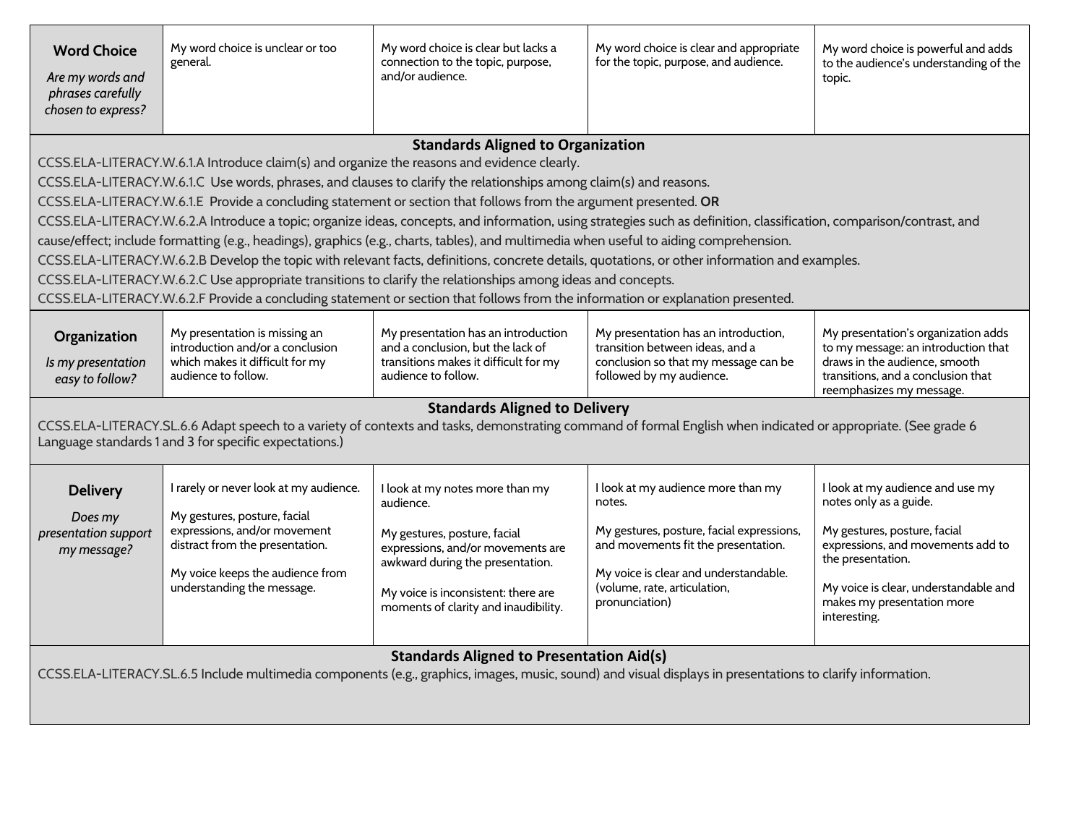| <b>Word Choice</b><br>Are my words and<br>phrases carefully<br>chosen to express?                                                                                                                                                                                                                                                                                                                                                                                                                                                                                                                                                                                                                                                                                                                                                                                                                                                                                                                                                                                                                          | My word choice is unclear or too<br>general.                                                                                                                                                                | My word choice is clear but lacks a<br>connection to the topic, purpose,<br>and/or audience.                                                                                                                                         | My word choice is clear and appropriate<br>for the topic, purpose, and audience.                                                                                                                                            | My word choice is powerful and adds<br>to the audience's understanding of the<br>topic.                                                                                                                                                     |
|------------------------------------------------------------------------------------------------------------------------------------------------------------------------------------------------------------------------------------------------------------------------------------------------------------------------------------------------------------------------------------------------------------------------------------------------------------------------------------------------------------------------------------------------------------------------------------------------------------------------------------------------------------------------------------------------------------------------------------------------------------------------------------------------------------------------------------------------------------------------------------------------------------------------------------------------------------------------------------------------------------------------------------------------------------------------------------------------------------|-------------------------------------------------------------------------------------------------------------------------------------------------------------------------------------------------------------|--------------------------------------------------------------------------------------------------------------------------------------------------------------------------------------------------------------------------------------|-----------------------------------------------------------------------------------------------------------------------------------------------------------------------------------------------------------------------------|---------------------------------------------------------------------------------------------------------------------------------------------------------------------------------------------------------------------------------------------|
| <b>Standards Aligned to Organization</b><br>CCSS.ELA-LITERACY.W.6.1.A Introduce claim(s) and organize the reasons and evidence clearly.<br>CCSS.ELA-LITERACY.W.6.1.C Use words, phrases, and clauses to clarify the relationships among claim(s) and reasons.<br>CCSS.ELA-LITERACY.W.6.1.E Provide a concluding statement or section that follows from the argument presented. OR<br>CCSS.ELA-LITERACY.W.6.2.A Introduce a topic; organize ideas, concepts, and information, using strategies such as definition, classification, comparison/contrast, and<br>cause/effect; include formatting (e.g., headings), graphics (e.g., charts, tables), and multimedia when useful to aiding comprehension.<br>CCSS.ELA-LITERACY.W.6.2.B Develop the topic with relevant facts, definitions, concrete details, quotations, or other information and examples.<br>CCSS.ELA-LITERACY.W.6.2.C Use appropriate transitions to clarify the relationships among ideas and concepts.<br>CCSS.ELA-LITERACY.W.6.2.F Provide a concluding statement or section that follows from the information or explanation presented. |                                                                                                                                                                                                             |                                                                                                                                                                                                                                      |                                                                                                                                                                                                                             |                                                                                                                                                                                                                                             |
| Organization<br>Is my presentation<br>easy to follow?                                                                                                                                                                                                                                                                                                                                                                                                                                                                                                                                                                                                                                                                                                                                                                                                                                                                                                                                                                                                                                                      | My presentation is missing an<br>introduction and/or a conclusion<br>which makes it difficult for my<br>audience to follow.                                                                                 | My presentation has an introduction<br>and a conclusion, but the lack of<br>transitions makes it difficult for my<br>audience to follow.                                                                                             | My presentation has an introduction,<br>transition between ideas, and a<br>conclusion so that my message can be<br>followed by my audience.                                                                                 | My presentation's organization adds<br>to my message: an introduction that<br>draws in the audience, smooth<br>transitions, and a conclusion that<br>reemphasizes my message.                                                               |
| <b>Standards Aligned to Delivery</b><br>CCSS.ELA-LITERACY.SL.6.6 Adapt speech to a variety of contexts and tasks, demonstrating command of formal English when indicated or appropriate. (See grade 6<br>Language standards 1 and 3 for specific expectations.)                                                                                                                                                                                                                                                                                                                                                                                                                                                                                                                                                                                                                                                                                                                                                                                                                                            |                                                                                                                                                                                                             |                                                                                                                                                                                                                                      |                                                                                                                                                                                                                             |                                                                                                                                                                                                                                             |
| <b>Delivery</b><br>Does my<br>presentation support<br>my message?                                                                                                                                                                                                                                                                                                                                                                                                                                                                                                                                                                                                                                                                                                                                                                                                                                                                                                                                                                                                                                          | I rarely or never look at my audience.<br>My gestures, posture, facial<br>expressions, and/or movement<br>distract from the presentation.<br>My voice keeps the audience from<br>understanding the message. | I look at my notes more than my<br>audience.<br>My gestures, posture, facial<br>expressions, and/or movements are<br>awkward during the presentation.<br>My voice is inconsistent: there are<br>moments of clarity and inaudibility. | I look at my audience more than my<br>notes.<br>My gestures, posture, facial expressions,<br>and movements fit the presentation.<br>My voice is clear and understandable.<br>(volume, rate, articulation,<br>pronunciation) | I look at my audience and use my<br>notes only as a guide.<br>My gestures, posture, facial<br>expressions, and movements add to<br>the presentation.<br>My voice is clear, understandable and<br>makes my presentation more<br>interesting. |
| <b>Standards Aligned to Presentation Aid(s)</b><br>CCSS.ELA-LITERACY.SL.6.5 Include multimedia components (e.g., graphics, images, music, sound) and visual displays in presentations to clarify information.                                                                                                                                                                                                                                                                                                                                                                                                                                                                                                                                                                                                                                                                                                                                                                                                                                                                                              |                                                                                                                                                                                                             |                                                                                                                                                                                                                                      |                                                                                                                                                                                                                             |                                                                                                                                                                                                                                             |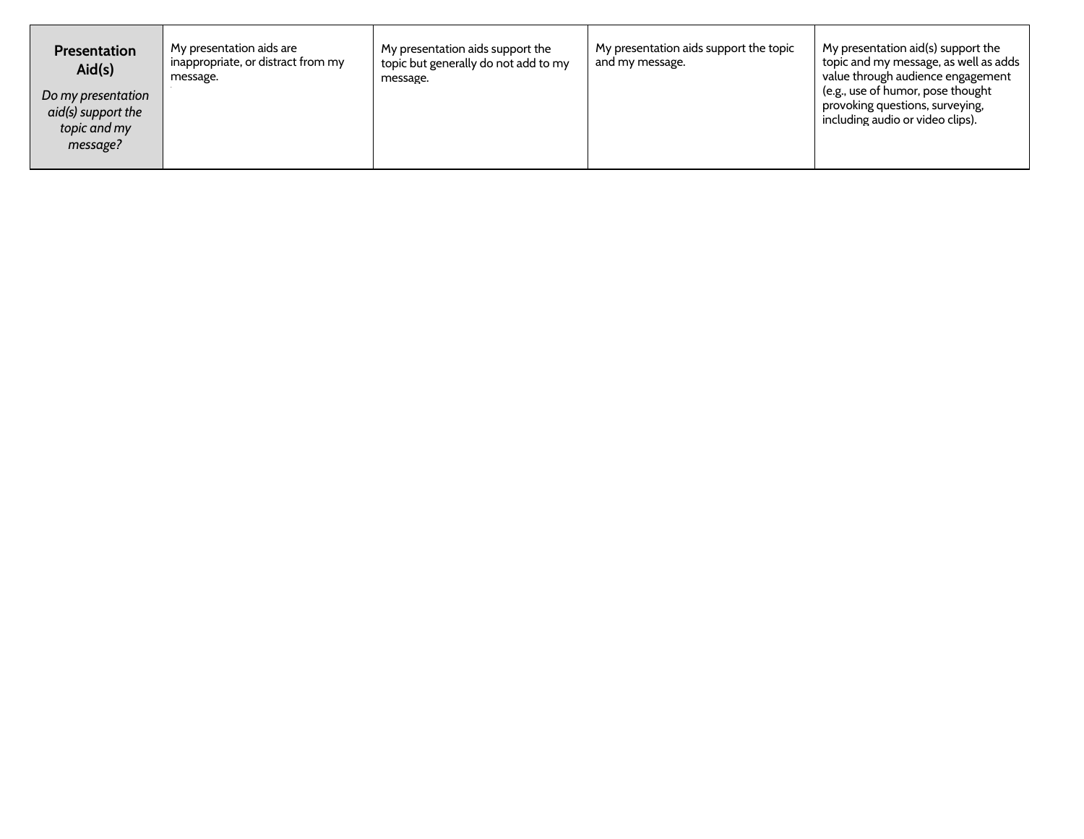| <b>Presentation</b><br>Aid(s)                                        | My presentation aids are<br>inappropriate, or distract from my<br>message. | My presentation aids support the<br>topic but generally do not add to my<br>message. | My presentation aids support the topic<br>and my message. | My presentation aid(s) support the<br>topic and my message, as well as adds<br>value through audience engagement |
|----------------------------------------------------------------------|----------------------------------------------------------------------------|--------------------------------------------------------------------------------------|-----------------------------------------------------------|------------------------------------------------------------------------------------------------------------------|
| Do my presentation<br>aid(s) support the<br>topic and my<br>message? |                                                                            |                                                                                      |                                                           | (e.g., use of humor, pose thought)<br>provoking questions, surveying,<br>including audio or video clips).        |